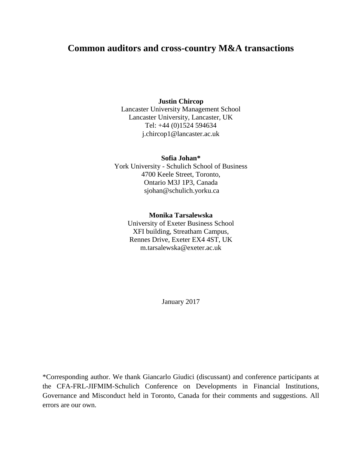# **Common auditors and cross-country M&A transactions**

#### **Justin Chircop**

Lancaster University Management School Lancaster University, Lancaster, UK Tel: +44 (0)1524 594634 j.chircop1@lancaster.ac.uk

#### **Sofia Johan\***

York University - Schulich School of Business 4700 Keele Street, Toronto, Ontario M3J 1P3, Canada sjohan@schulich.yorku.ca

#### **Monika Tarsalewska**

University of Exeter Business School XFI building, Streatham Campus, Rennes Drive, Exeter EX4 4ST, UK m.tarsalewska@exeter.ac.uk

January 2017

\*Corresponding author. We thank Giancarlo Giudici (discussant) and conference participants at the CFA-FRL-JIFMIM-Schulich Conference on Developments in Financial Institutions, Governance and Misconduct held in Toronto, Canada for their comments and suggestions. All errors are our own.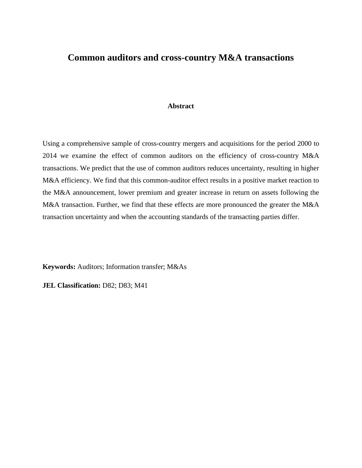# **Common auditors and cross-country M&A transactions**

#### **Abstract**

Using a comprehensive sample of cross-country mergers and acquisitions for the period 2000 to 2014 we examine the effect of common auditors on the efficiency of cross-country M&A transactions. We predict that the use of common auditors reduces uncertainty, resulting in higher M&A efficiency. We find that this common-auditor effect results in a positive market reaction to the M&A announcement, lower premium and greater increase in return on assets following the M&A transaction. Further, we find that these effects are more pronounced the greater the M&A transaction uncertainty and when the accounting standards of the transacting parties differ.

**Keywords:** Auditors; Information transfer; M&As

**JEL Classification: D82; D83; M41**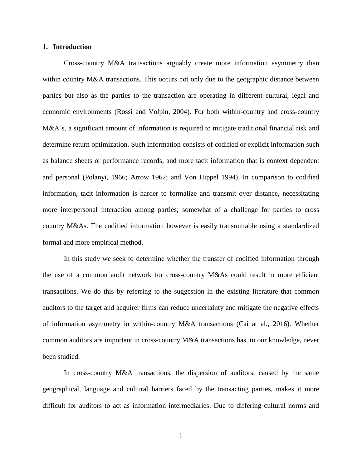#### **1. Introduction**

Cross-country M&A transactions arguably create more information asymmetry than within country M&A transactions. This occurs not only due to the geographic distance between parties but also as the parties to the transaction are operating in different cultural, legal and economic environments (Rossi and Volpin, 2004). For both within-country and cross-country M&A's, a significant amount of information is required to mitigate traditional financial risk and determine return optimization. Such information consists of codified or explicit information such as balance sheets or performance records, and more tacit information that is context dependent and personal (Polanyi, 1966; Arrow 1962; and Von Hippel 1994). In comparison to codified information, tacit information is harder to formalize and transmit over distance, necessitating more interpersonal interaction among parties; somewhat of a challenge for parties to cross country M&As. The codified information however is easily transmittable using a standardized formal and more empirical method.

In this study we seek to determine whether the transfer of codified information through the use of a common audit network for cross-country M&As could result in more efficient transactions. We do this by referring to the suggestion in the existing literature that common auditors to the target and acquirer firms can reduce uncertainty and mitigate the negative effects of information asymmetry in within-country M&A transactions (Cai at al., 2016). Whether common auditors are important in cross-country M&A transactions has, to our knowledge, never been studied.

In cross-country M&A transactions, the dispersion of auditors, caused by the same geographical, language and cultural barriers faced by the transacting parties, makes it more difficult for auditors to act as information intermediaries. Due to differing cultural norms and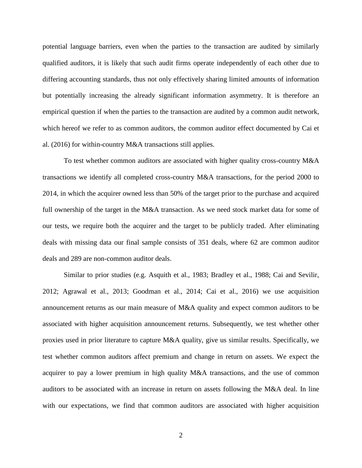potential language barriers, even when the parties to the transaction are audited by similarly qualified auditors, it is likely that such audit firms operate independently of each other due to differing accounting standards, thus not only effectively sharing limited amounts of information but potentially increasing the already significant information asymmetry. It is therefore an empirical question if when the parties to the transaction are audited by a common audit network, which hereof we refer to as common auditors, the common auditor effect documented by Cai et al. (2016) for within-country M&A transactions still applies.

To test whether common auditors are associated with higher quality cross-country M&A transactions we identify all completed cross-country M&A transactions, for the period 2000 to 2014, in which the acquirer owned less than 50% of the target prior to the purchase and acquired full ownership of the target in the M&A transaction. As we need stock market data for some of our tests, we require both the acquirer and the target to be publicly traded. After eliminating deals with missing data our final sample consists of 351 deals, where 62 are common auditor deals and 289 are non-common auditor deals.

Similar to prior studies (e.g. Asquith et al., 1983; Bradley et al., 1988; Cai and Sevilir, 2012; Agrawal et al., 2013; Goodman et al., 2014; Cai et al., 2016) we use acquisition announcement returns as our main measure of M&A quality and expect common auditors to be associated with higher acquisition announcement returns. Subsequently, we test whether other proxies used in prior literature to capture M&A quality, give us similar results. Specifically, we test whether common auditors affect premium and change in return on assets. We expect the acquirer to pay a lower premium in high quality M&A transactions, and the use of common auditors to be associated with an increase in return on assets following the M&A deal. In line with our expectations, we find that common auditors are associated with higher acquisition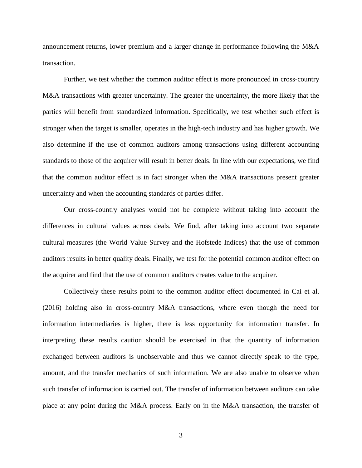announcement returns, lower premium and a larger change in performance following the M&A transaction.

Further, we test whether the common auditor effect is more pronounced in cross-country M&A transactions with greater uncertainty. The greater the uncertainty, the more likely that the parties will benefit from standardized information. Specifically, we test whether such effect is stronger when the target is smaller, operates in the high-tech industry and has higher growth. We also determine if the use of common auditors among transactions using different accounting standards to those of the acquirer will result in better deals. In line with our expectations, we find that the common auditor effect is in fact stronger when the M&A transactions present greater uncertainty and when the accounting standards of parties differ.

Our cross-country analyses would not be complete without taking into account the differences in cultural values across deals. We find, after taking into account two separate cultural measures (the World Value Survey and the Hofstede Indices) that the use of common auditors results in better quality deals. Finally, we test for the potential common auditor effect on the acquirer and find that the use of common auditors creates value to the acquirer.

Collectively these results point to the common auditor effect documented in Cai et al. (2016) holding also in cross-country M&A transactions, where even though the need for information intermediaries is higher, there is less opportunity for information transfer. In interpreting these results caution should be exercised in that the quantity of information exchanged between auditors is unobservable and thus we cannot directly speak to the type, amount, and the transfer mechanics of such information. We are also unable to observe when such transfer of information is carried out. The transfer of information between auditors can take place at any point during the M&A process. Early on in the M&A transaction, the transfer of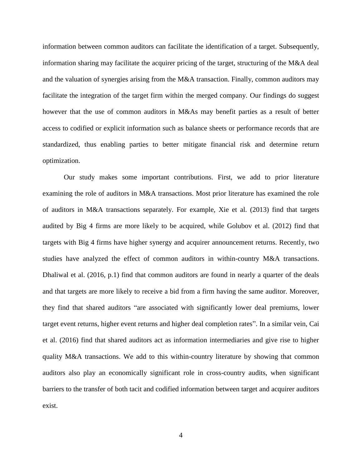information between common auditors can facilitate the identification of a target. Subsequently, information sharing may facilitate the acquirer pricing of the target, structuring of the M&A deal and the valuation of synergies arising from the M&A transaction. Finally, common auditors may facilitate the integration of the target firm within the merged company. Our findings do suggest however that the use of common auditors in M&As may benefit parties as a result of better access to codified or explicit information such as balance sheets or performance records that are standardized, thus enabling parties to better mitigate financial risk and determine return optimization.

Our study makes some important contributions. First, we add to prior literature examining the role of auditors in M&A transactions. Most prior literature has examined the role of auditors in M&A transactions separately. For example, Xie et al. (2013) find that targets audited by Big 4 firms are more likely to be acquired, while Golubov et al. (2012) find that targets with Big 4 firms have higher synergy and acquirer announcement returns. Recently, two studies have analyzed the effect of common auditors in within-country M&A transactions. Dhaliwal et al. (2016, p.1) find that common auditors are found in nearly a quarter of the deals and that targets are more likely to receive a bid from a firm having the same auditor. Moreover, they find that shared auditors "are associated with significantly lower deal premiums, lower target event returns, higher event returns and higher deal completion rates". In a similar vein, Cai et al. (2016) find that shared auditors act as information intermediaries and give rise to higher quality M&A transactions. We add to this within-country literature by showing that common auditors also play an economically significant role in cross-country audits, when significant barriers to the transfer of both tacit and codified information between target and acquirer auditors exist.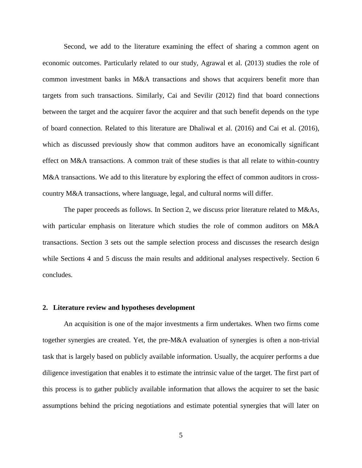Second, we add to the literature examining the effect of sharing a common agent on economic outcomes. Particularly related to our study, Agrawal et al. (2013) studies the role of common investment banks in M&A transactions and shows that acquirers benefit more than targets from such transactions. Similarly, Cai and Sevilir (2012) find that board connections between the target and the acquirer favor the acquirer and that such benefit depends on the type of board connection. Related to this literature are Dhaliwal et al. (2016) and Cai et al. (2016), which as discussed previously show that common auditors have an economically significant effect on M&A transactions. A common trait of these studies is that all relate to within-country M&A transactions. We add to this literature by exploring the effect of common auditors in crosscountry M&A transactions, where language, legal, and cultural norms will differ.

The paper proceeds as follows. In Section 2, we discuss prior literature related to M&As, with particular emphasis on literature which studies the role of common auditors on M&A transactions. Section 3 sets out the sample selection process and discusses the research design while Sections 4 and 5 discuss the main results and additional analyses respectively. Section 6 concludes.

#### **2. Literature review and hypotheses development**

An acquisition is one of the major investments a firm undertakes. When two firms come together synergies are created. Yet, the pre-M&A evaluation of synergies is often a non-trivial task that is largely based on publicly available information. Usually, the acquirer performs a due diligence investigation that enables it to estimate the intrinsic value of the target. The first part of this process is to gather publicly available information that allows the acquirer to set the basic assumptions behind the pricing negotiations and estimate potential synergies that will later on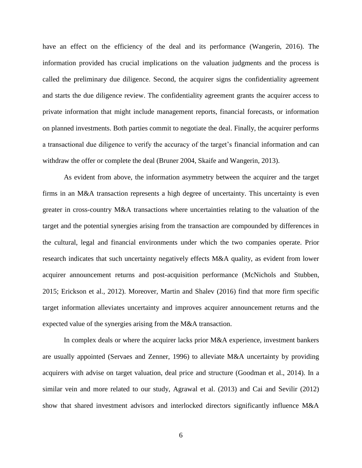have an effect on the efficiency of the deal and its performance (Wangerin, 2016). The information provided has crucial implications on the valuation judgments and the process is called the preliminary due diligence. Second, the acquirer signs the confidentiality agreement and starts the due diligence review. The confidentiality agreement grants the acquirer access to private information that might include management reports, financial forecasts, or information on planned investments. Both parties commit to negotiate the deal. Finally, the acquirer performs a transactional due diligence to verify the accuracy of the target's financial information and can withdraw the offer or complete the deal (Bruner 2004, Skaife and Wangerin, 2013).

As evident from above, the information asymmetry between the acquirer and the target firms in an M&A transaction represents a high degree of uncertainty. This uncertainty is even greater in cross-country M&A transactions where uncertainties relating to the valuation of the target and the potential synergies arising from the transaction are compounded by differences in the cultural, legal and financial environments under which the two companies operate. Prior research indicates that such uncertainty negatively effects M&A quality, as evident from lower acquirer announcement returns and post-acquisition performance (McNichols and Stubben, 2015; Erickson et al., 2012). Moreover, Martin and Shalev (2016) find that more firm specific target information alleviates uncertainty and improves acquirer announcement returns and the expected value of the synergies arising from the M&A transaction.

In complex deals or where the acquirer lacks prior M&A experience, investment bankers are usually appointed (Servaes and Zenner, 1996) to alleviate M&A uncertainty by providing acquirers with advise on target valuation, deal price and structure (Goodman et al., 2014). In a similar vein and more related to our study, Agrawal et al. (2013) and Cai and Sevilir (2012) show that shared investment advisors and interlocked directors significantly influence M&A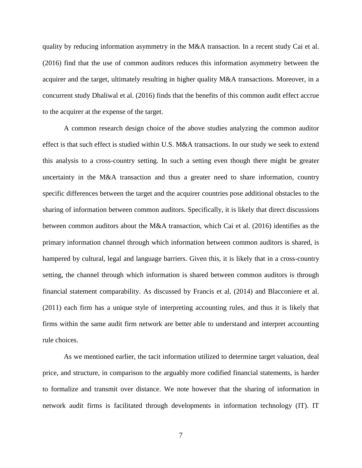quality by reducing information asymmetry in the M&A transaction. In a recent study Cai et al. (2016) find that the use of common auditors reduces this information asymmetry between the acquirer and the target, ultimately resulting in higher quality M&A transactions. Moreover, in a concurrent study Dhaliwal et al. (2016) finds that the benefits of this common audit effect accrue to the acquirer at the expense of the target.

A common research design choice of the above studies analyzing the common auditor effect is that such effect is studied within U.S. M&A transactions. In our study we seek to extend this analysis to a cross-country setting. In such a setting even though there might be greater uncertainty in the M&A transaction and thus a greater need to share information, country specific differences between the target and the acquirer countries pose additional obstacles to the sharing of information between common auditors. Specifically, it is likely that direct discussions between common auditors about the M&A transaction, which Cai et al. (2016) identifies as the primary information channel through which information between common auditors is shared, is hampered by cultural, legal and language barriers. Given this, it is likely that in a cross-country setting, the channel through which information is shared between common auditors is through financial statement comparability. As discussed by Francis et al. (2014) and Blacconiere et al. (2011) each firm has a unique style of interpreting accounting rules, and thus it is likely that firms within the same audit firm network are better able to understand and interpret accounting rule choices.

As we mentioned earlier, the tacit information utilized to determine target valuation, deal price, and structure, in comparison to the arguably more codified financial statements, is harder to formalize and transmit over distance. We note however that the sharing of information in network audit firms is facilitated through developments in information technology (IT). IT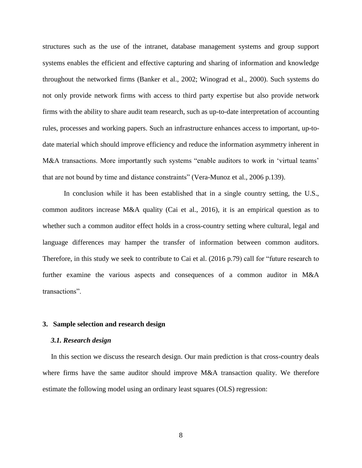structures such as the use of the intranet, database management systems and group support systems enables the efficient and effective capturing and sharing of information and knowledge throughout the networked firms (Banker et al., 2002; Winograd et al., 2000). Such systems do not only provide network firms with access to third party expertise but also provide network firms with the ability to share audit team research, such as up-to-date interpretation of accounting rules, processes and working papers. Such an infrastructure enhances access to important, up-todate material which should improve efficiency and reduce the information asymmetry inherent in M&A transactions. More importantly such systems "enable auditors to work in 'virtual teams' that are not bound by time and distance constraints" (Vera-Munoz et al., 2006 p.139).

In conclusion while it has been established that in a single country setting, the U.S., common auditors increase M&A quality (Cai et al., 2016), it is an empirical question as to whether such a common auditor effect holds in a cross-country setting where cultural, legal and language differences may hamper the transfer of information between common auditors. Therefore, in this study we seek to contribute to Cai et al. (2016 p.79) call for "future research to further examine the various aspects and consequences of a common auditor in M&A transactions".

#### **3. Sample selection and research design**

#### *3.1. Research design*

In this section we discuss the research design. Our main prediction is that cross-country deals where firms have the same auditor should improve M&A transaction quality. We therefore estimate the following model using an ordinary least squares (OLS) regression: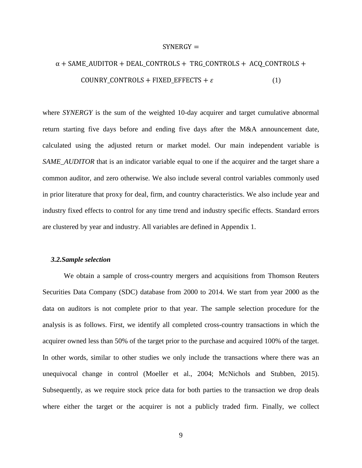#### $SYNERGY =$

# $\alpha$  + SAME\_AUDITOR + DEAL\_CONTROLS + TRG\_CONTROLS + ACQ\_CONTROLS + COUNRY\_CONTROLS + FIXED\_EFFECTS +  $\varepsilon$  (1)

where *SYNERGY* is the sum of the weighted 10-day acquirer and target cumulative abnormal return starting five days before and ending five days after the M&A announcement date, calculated using the adjusted return or market model. Our main independent variable is *SAME\_AUDITOR* that is an indicator variable equal to one if the acquirer and the target share a common auditor, and zero otherwise. We also include several control variables commonly used in prior literature that proxy for deal, firm, and country characteristics. We also include year and industry fixed effects to control for any time trend and industry specific effects. Standard errors are clustered by year and industry. All variables are defined in Appendix 1.

#### *3.2.Sample selection*

We obtain a sample of cross-country mergers and acquisitions from Thomson Reuters Securities Data Company (SDC) database from 2000 to 2014. We start from year 2000 as the data on auditors is not complete prior to that year. The sample selection procedure for the analysis is as follows. First, we identify all completed cross-country transactions in which the acquirer owned less than 50% of the target prior to the purchase and acquired 100% of the target. In other words, similar to other studies we only include the transactions where there was an unequivocal change in control (Moeller et al., 2004; McNichols and Stubben, 2015). Subsequently, as we require stock price data for both parties to the transaction we drop deals where either the target or the acquirer is not a publicly traded firm. Finally, we collect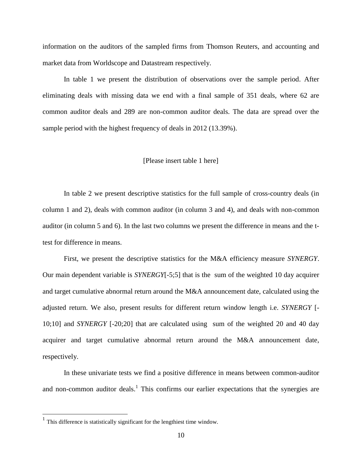information on the auditors of the sampled firms from Thomson Reuters, and accounting and market data from Worldscope and Datastream respectively.

In table 1 we present the distribution of observations over the sample period. After eliminating deals with missing data we end with a final sample of 351 deals, where 62 are common auditor deals and 289 are non-common auditor deals. The data are spread over the sample period with the highest frequency of deals in 2012 (13.39%).

#### [Please insert table 1 here]

In table 2 we present descriptive statistics for the full sample of cross-country deals (in column 1 and 2), deals with common auditor (in column 3 and 4), and deals with non-common auditor (in column 5 and 6). In the last two columns we present the difference in means and the ttest for difference in means.

First, we present the descriptive statistics for the M&A efficiency measure *SYNERGY*. Our main dependent variable is *SYNERGY*[-5;5] that is the sum of the weighted 10 day acquirer and target cumulative abnormal return around the M&A announcement date, calculated using the adjusted return. We also, present results for different return window length i.e. *SYNERGY* [- 10;10] and *SYNERGY* [-20;20] that are calculated using sum of the weighted 20 and 40 day acquirer and target cumulative abnormal return around the M&A announcement date, respectively.

In these univariate tests we find a positive difference in means between common-auditor and non-common auditor deals.<sup>1</sup> This confirms our earlier expectations that the synergies are

 $<sup>1</sup>$  This difference is statistically significant for the lengthiest time window.</sup>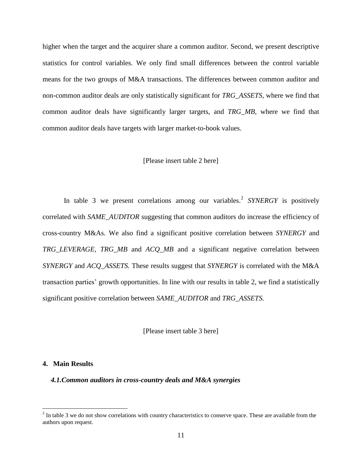higher when the target and the acquirer share a common auditor. Second, we present descriptive statistics for control variables. We only find small differences between the control variable means for the two groups of M&A transactions. The differences between common auditor and non-common auditor deals are only statistically significant for *TRG\_ASSETS*, where we find that common auditor deals have significantly larger targets, and *TRG\_MB,* where we find that common auditor deals have targets with larger market-to-book values.

#### [Please insert table 2 here]

In table 3 we present correlations among our variables.<sup>2</sup> SYNERGY is positively correlated with *SAME\_AUDITOR* suggesting that common auditors do increase the efficiency of cross-country M&As. We also find a significant positive correlation between *SYNERGY* and *TRG\_LEVERAGE, TRG\_MB* and *ACQ\_MB* and a significant negative correlation between *SYNERGY* and *ACQ\_ASSETS.* These results suggest that *SYNERGY* is correlated with the M&A transaction parties' growth opportunities. In line with our results in table 2, we find a statistically significant positive correlation between *SAME\_AUDITOR* and *TRG\_ASSETS.*

[Please insert table 3 here]

#### **4. Main Results**

 $\overline{\phantom{a}}$ 

*4.1.Common auditors in cross-country deals and M&A synergies*

 $2<sup>2</sup>$  In table 3 we do not show correlations with country characteristics to conserve space. These are available from the authors upon request.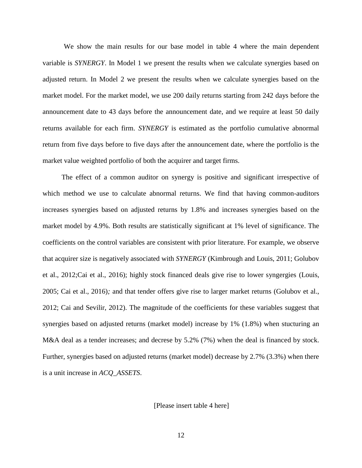We show the main results for our base model in table 4 where the main dependent variable is *SYNERGY*. In Model 1 we present the results when we calculate synergies based on adjusted return. In Model 2 we present the results when we calculate synergies based on the market model. For the market model, we use 200 daily returns starting from 242 days before the announcement date to 43 days before the announcement date, and we require at least 50 daily returns available for each firm. *SYNERGY* is estimated as the portfolio cumulative abnormal return from five days before to five days after the announcement date, where the portfolio is the market value weighted portfolio of both the acquirer and target firms.

The effect of a common auditor on synergy is positive and significant irrespective of which method we use to calculate abnormal returns. We find that having common-auditors increases synergies based on adjusted returns by 1.8% and increases synergies based on the market model by 4.9%. Both results are statistically significant at 1% level of significance. The coefficients on the control variables are consistent with prior literature. For example, we observe that acquirer size is negatively associated with *SYNERGY* (Kimbrough and Louis, 2011; Golubov et al., 2012;Cai et al., 2016); highly stock financed deals give rise to lower syngergies (Louis, 2005; Cai et al., 2016)*;* and that tender offers give rise to larger market returns (Golubov et al., 2012; Cai and Sevilir, 2012). The magnitude of the coefficients for these variables suggest that synergies based on adjusted returns (market model) increase by 1% (1.8%) when stucturing an M&A deal as a tender increases; and decrese by 5.2% (7%) when the deal is financed by stock. Further, synergies based on adjusted returns (market model) decrease by 2.7% (3.3%) when there is a unit increase in *ACQ\_ASSETS*.

[Please insert table 4 here]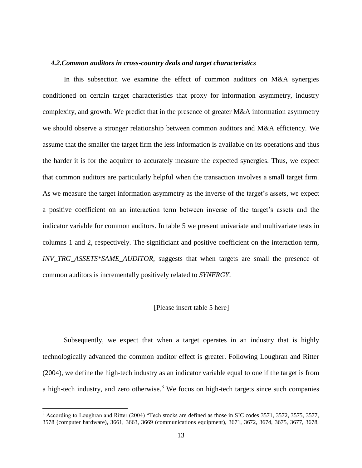#### *4.2.Common auditors in cross-country deals and target characteristics*

In this subsection we examine the effect of common auditors on M&A synergies conditioned on certain target characteristics that proxy for information asymmetry, industry complexity, and growth. We predict that in the presence of greater M&A information asymmetry we should observe a stronger relationship between common auditors and M&A efficiency. We assume that the smaller the target firm the less information is available on its operations and thus the harder it is for the acquirer to accurately measure the expected synergies. Thus, we expect that common auditors are particularly helpful when the transaction involves a small target firm. As we measure the target information asymmetry as the inverse of the target's assets, we expect a positive coefficient on an interaction term between inverse of the target's assets and the indicator variable for common auditors. In table 5 we present univariate and multivariate tests in columns 1 and 2, respectively. The significiant and positive coefficient on the interaction term, *INV\_TRG\_ASSETS\*SAME\_AUDITOR,* suggests that when targets are small the presence of common auditors is incrementally positively related to *SYNERGY*.

#### [Please insert table 5 here]

Subsequently, we expect that when a target operates in an industry that is highly technologically advanced the common auditor effect is greater. Following Loughran and Ritter (2004), we define the high-tech industry as an indicator variable equal to one if the target is from a high-tech industry, and zero otherwise.<sup>3</sup> We focus on high-tech targets since such companies

<sup>&</sup>lt;sup>3</sup> According to Loughran and Ritter (2004) "Tech stocks are defined as those in SIC codes 3571, 3572, 3575, 3577, 3578 (computer hardware), 3661, 3663, 3669 (communications equipment), 3671, 3672, 3674, 3675, 3677, 3678,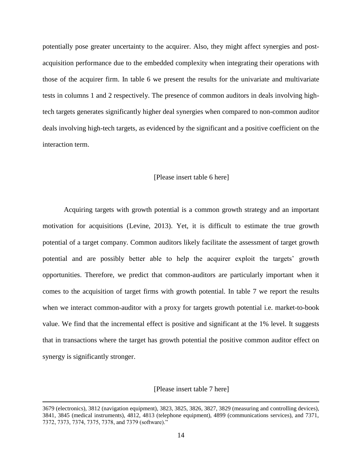potentially pose greater uncertainty to the acquirer. Also, they might affect synergies and postacquisition performance due to the embedded complexity when integrating their operations with those of the acquirer firm. In table 6 we present the results for the univariate and multivariate tests in columns 1 and 2 respectively. The presence of common auditors in deals involving hightech targets generates significantly higher deal synergies when compared to non-common auditor deals involving high-tech targets, as evidenced by the significant and a positive coefficient on the interaction term.

#### [Please insert table 6 here]

Acquiring targets with growth potential is a common growth strategy and an important motivation for acquisitions (Levine, 2013). Yet, it is difficult to estimate the true growth potential of a target company. Common auditors likely facilitate the assessment of target growth potential and are possibly better able to help the acquirer exploit the targets' growth opportunities. Therefore, we predict that common-auditors are particularly important when it comes to the acquisition of target firms with growth potential. In table 7 we report the results when we interact common-auditor with a proxy for targets growth potential i.e. market-to-book value. We find that the incremental effect is positive and significant at the 1% level. It suggests that in transactions where the target has growth potential the positive common auditor effect on synergy is significantly stronger.

[Please insert table 7 here]

<sup>3679 (</sup>electronics), 3812 (navigation equipment), 3823, 3825, 3826, 3827, 3829 (measuring and controlling devices), 3841, 3845 (medical instruments), 4812, 4813 (telephone equipment), 4899 (communications services), and 7371, 7372, 7373, 7374, 7375, 7378, and 7379 (software)."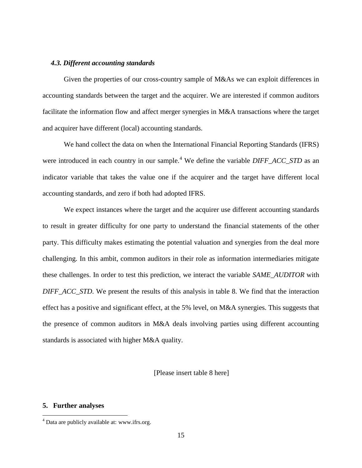#### *4.3. Different accounting standards*

Given the properties of our cross-country sample of M&As we can exploit differences in accounting standards between the target and the acquirer. We are interested if common auditors facilitate the information flow and affect merger synergies in M&A transactions where the target and acquirer have different (local) accounting standards.

We hand collect the data on when the International Financial Reporting Standards (IFRS) were introduced in each country in our sample.<sup>4</sup> We define the variable *DIFF ACC STD* as an indicator variable that takes the value one if the acquirer and the target have different local accounting standards, and zero if both had adopted IFRS.

We expect instances where the target and the acquirer use different accounting standards to result in greater difficulty for one party to understand the financial statements of the other party. This difficulty makes estimating the potential valuation and synergies from the deal more challenging. In this ambit, common auditors in their role as information intermediaries mitigate these challenges. In order to test this prediction, we interact the variable *SAME\_AUDITOR* with *DIFF\_ACC\_STD*. We present the results of this analysis in table 8. We find that the interaction effect has a positive and significant effect, at the 5% level, on M&A synergies. This suggests that the presence of common auditors in M&A deals involving parties using different accounting standards is associated with higher M&A quality.

[Please insert table 8 here]

#### **5. Further analyses**

<sup>&</sup>lt;sup>4</sup> Data are publicly available at: www.ifrs.org.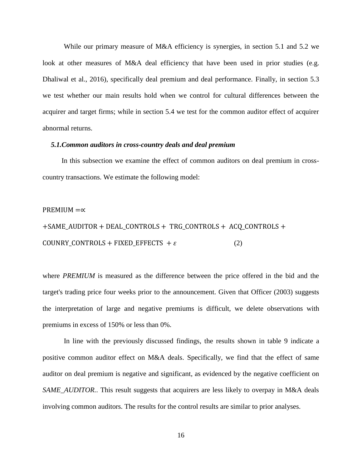While our primary measure of M&A efficiency is synergies, in section 5.1 and 5.2 we look at other measures of M&A deal efficiency that have been used in prior studies (e.g. Dhaliwal et al., 2016), specifically deal premium and deal performance. Finally, in section 5.3 we test whether our main results hold when we control for cultural differences between the acquirer and target firms; while in section 5.4 we test for the common auditor effect of acquirer abnormal returns.

#### *5.1.Common auditors in cross-country deals and deal premium*

In this subsection we examine the effect of common auditors on deal premium in crosscountry transactions. We estimate the following model:

#### PREMIUM  $=\propto$

+SAME\_AUDITOR + DEAL\_CONTROLS + TRG\_CONTROLS + ACQ\_CONTROLS + COUNRY\_CONTROLS + FIXED\_EFFECTS +  $\varepsilon$  (2)

where *PREMIUM* is measured as the difference between the price offered in the bid and the target's trading price four weeks prior to the announcement. Given that Officer (2003) suggests the interpretation of large and negative premiums is difficult, we delete observations with premiums in excess of 150% or less than 0%.

In line with the previously discussed findings, the results shown in table 9 indicate a positive common auditor effect on M&A deals. Specifically, we find that the effect of same auditor on deal premium is negative and significant, as evidenced by the negative coefficient on *SAME\_AUDITOR.*. This result suggests that acquirers are less likely to overpay in M&A deals involving common auditors. The results for the control results are similar to prior analyses.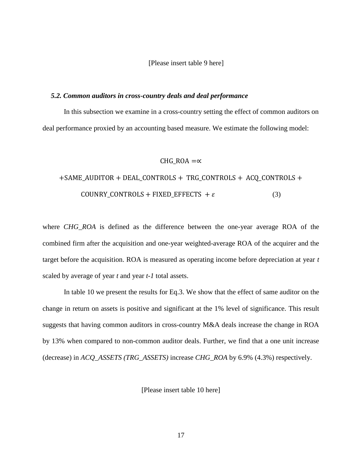[Please insert table 9 here]

#### *5.2. Common auditors in cross-country deals and deal performance*

In this subsection we examine in a cross-country setting the effect of common auditors on deal performance proxied by an accounting based measure. We estimate the following model:

#### CHG ROA  $=\infty$

# +SAME\_AUDITOR + DEAL\_CONTROLS + TRG\_CONTROLS + ACQ\_CONTROLS + COUNRY\_CONTROLS + FIXED\_EFFECTS +  $\varepsilon$  (3)

where *CHG\_ROA* is defined as the difference between the one-year average ROA of the combined firm after the acquisition and one-year weighted-average ROA of the acquirer and the target before the acquisition. ROA is measured as operating income before depreciation at year *t* scaled by average of year *t* and year *t-1* total assets.

In table 10 we present the results for Eq.3. We show that the effect of same auditor on the change in return on assets is positive and significant at the 1% level of significance. This result suggests that having common auditors in cross-country M&A deals increase the change in ROA by 13% when compared to non-common auditor deals. Further, we find that a one unit increase (decrease) in *ACQ\_ASSETS (TRG\_ASSETS)* increase *CHG\_ROA* by 6.9% (4.3%) respectively.

[Please insert table 10 here]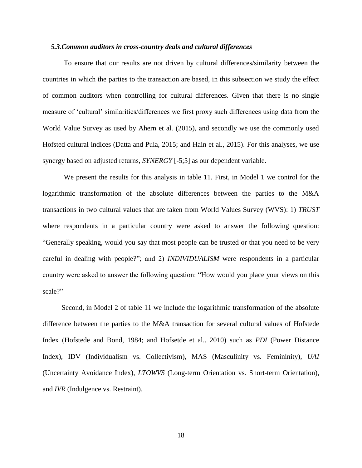#### *5.3.Common auditors in cross-country deals and cultural differences*

To ensure that our results are not driven by cultural differences/similarity between the countries in which the parties to the transaction are based, in this subsection we study the effect of common auditors when controlling for cultural differences. Given that there is no single measure of 'cultural' similarities/differences we first proxy such differences using data from the World Value Survey as used by Ahern et al. (2015), and secondly we use the commonly used Hofsted cultural indices (Datta and Puia, 2015; and Hain et al., 2015). For this analyses, we use synergy based on adjusted returns, *SYNERGY* [-5;5] as our dependent variable.

We present the results for this analysis in table 11. First, in Model 1 we control for the logarithmic transformation of the absolute differences between the parties to the M&A transactions in two cultural values that are taken from World Values Survey (WVS): 1) *TRUST* where respondents in a particular country were asked to answer the following question: "Generally speaking, would you say that most people can be trusted or that you need to be very careful in dealing with people?"; and 2) *INDIVIDUALISM* were respondents in a particular country were asked to answer the following question: "How would you place your views on this scale?"

Second, in Model 2 of table 11 we include the logarithmic transformation of the absolute difference between the parties to the M&A transaction for several cultural values of Hofstede Index (Hofstede and Bond, 1984; and Hofsetde et al.. 2010) such as *PDI* (Power Distance Index), IDV (Individualism vs. Collectivism), MAS (Masculinity vs. Femininity), *UAI* (Uncertainty Avoidance Index), *LTOWVS* (Long-term Orientation vs. Short-term Orientation), and *IVR* (Indulgence vs. Restraint).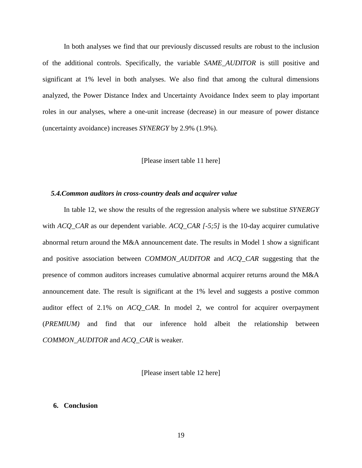In both analyses we find that our previously discussed results are robust to the inclusion of the additional controls. Specifically, the variable *SAME\_AUDITOR* is still positive and significant at 1% level in both analyses. We also find that among the cultural dimensions analyzed, the Power Distance Index and Uncertainty Avoidance Index seem to play important roles in our analyses, where a one-unit increase (decrease) in our measure of power distance (uncertainty avoidance) increases *SYNERGY* by 2.9% (1.9%).

#### [Please insert table 11 here]

#### *5.4.Common auditors in cross-country deals and acquirer value*

In table 12, we show the results of the regression analysis where we substitue *SYNERGY*  with *ACQ\_CAR* as our dependent variable. *ACQ\_CAR [-5;5]* is the 10-day acquirer cumulative abnormal return around the M&A announcement date. The results in Model 1 show a significant and positive association between *COMMON\_AUDITOR* and *ACQ\_CAR* suggesting that the presence of common auditors increases cumulative abnormal acquirer returns around the M&A announcement date. The result is significant at the 1% level and suggests a postive common auditor effect of 2.1% on *ACQ\_CAR.* In model 2, we control for acquirer overpayment (*PREMIUM)* and find that our inference hold albeit the relationship between *COMMON\_AUDITOR* and *ACQ\_CAR* is weaker.

[Please insert table 12 here]

#### **6. Conclusion**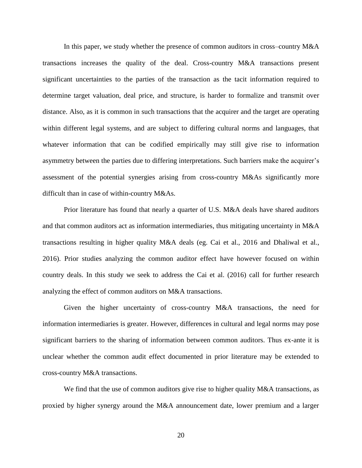In this paper, we study whether the presence of common auditors in cross–country M&A transactions increases the quality of the deal. Cross-country M&A transactions present significant uncertainties to the parties of the transaction as the tacit information required to determine target valuation, deal price, and structure, is harder to formalize and transmit over distance. Also, as it is common in such transactions that the acquirer and the target are operating within different legal systems, and are subject to differing cultural norms and languages, that whatever information that can be codified empirically may still give rise to information asymmetry between the parties due to differing interpretations. Such barriers make the acquirer's assessment of the potential synergies arising from cross-country M&As significantly more difficult than in case of within-country M&As.

Prior literature has found that nearly a quarter of U.S. M&A deals have shared auditors and that common auditors act as information intermediaries, thus mitigating uncertainty in M&A transactions resulting in higher quality M&A deals (eg. Cai et al., 2016 and Dhaliwal et al., 2016). Prior studies analyzing the common auditor effect have however focused on within country deals. In this study we seek to address the Cai et al. (2016) call for further research analyzing the effect of common auditors on M&A transactions.

Given the higher uncertainty of cross-country M&A transactions, the need for information intermediaries is greater. However, differences in cultural and legal norms may pose significant barriers to the sharing of information between common auditors. Thus ex-ante it is unclear whether the common audit effect documented in prior literature may be extended to cross-country M&A transactions.

We find that the use of common auditors give rise to higher quality M&A transactions, as proxied by higher synergy around the M&A announcement date, lower premium and a larger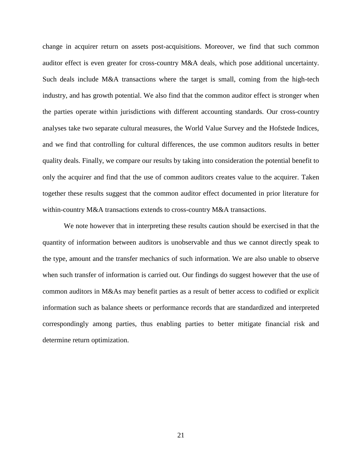change in acquirer return on assets post-acquisitions. Moreover, we find that such common auditor effect is even greater for cross-country M&A deals, which pose additional uncertainty. Such deals include M&A transactions where the target is small, coming from the high-tech industry, and has growth potential. We also find that the common auditor effect is stronger when the parties operate within jurisdictions with different accounting standards. Our cross-country analyses take two separate cultural measures, the World Value Survey and the Hofstede Indices, and we find that controlling for cultural differences, the use common auditors results in better quality deals. Finally, we compare our results by taking into consideration the potential benefit to only the acquirer and find that the use of common auditors creates value to the acquirer. Taken together these results suggest that the common auditor effect documented in prior literature for within-country M&A transactions extends to cross-country M&A transactions.

We note however that in interpreting these results caution should be exercised in that the quantity of information between auditors is unobservable and thus we cannot directly speak to the type, amount and the transfer mechanics of such information. We are also unable to observe when such transfer of information is carried out. Our findings do suggest however that the use of common auditors in M&As may benefit parties as a result of better access to codified or explicit information such as balance sheets or performance records that are standardized and interpreted correspondingly among parties, thus enabling parties to better mitigate financial risk and determine return optimization.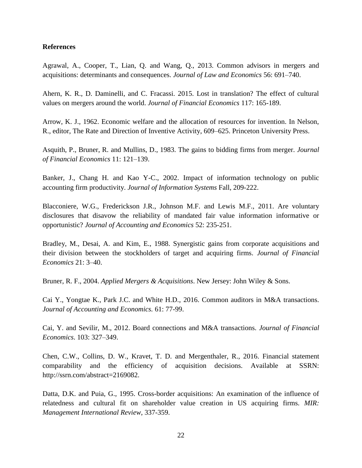### **References**

Agrawal, A., Cooper, T., Lian, Q. and Wang, Q., 2013. Common advisors in mergers and acquisitions: determinants and consequences. *Journal of Law and Economics* 56: 691–740.

Ahern, K. R., D. Daminelli, and C. Fracassi. 2015. Lost in translation? The effect of cultural values on mergers around the world. *Journal of Financial Economics* 117: 165-189.

Arrow, K. J., 1962. Economic welfare and the allocation of resources for invention. In Nelson, R., editor, The Rate and Direction of Inventive Activity, 609–625. Princeton University Press.

Asquith, P., Bruner, R. and Mullins, D., 1983. The gains to bidding firms from merger. *Journal of Financial Economics* 11: 121–139.

Banker, J., Chang H. and Kao Y-C., 2002. Impact of information technology on public accounting firm productivity. *Journal of Information Systems* Fall, 209-222.

Blacconiere, W.G., Frederickson J.R., Johnson M.F. and Lewis M.F., 2011. Are voluntary disclosures that disavow the reliability of mandated fair value information informative or opportunistic? *Journal of Accounting and Economics* 52: 235-251.

Bradley, M., Desai, A. and Kim, E., 1988. Synergistic gains from corporate acquisitions and their division between the stockholders of target and acquiring firms. *Journal of Financial Economics* 21: 3–40.

Bruner, R. F., 2004. *Applied Mergers & Acquisitions*. New Jersey: John Wiley & Sons.

Cai Y., Yongtae K., Park J.C. and White H.D., 2016. Common auditors in M&A transactions. *Journal of Accounting and Economics.* 61: 77-99.

Cai, Y. and Sevilir, M., 2012. Board connections and M&A transactions. *Journal of Financial Economics*. 103: 327–349.

Chen, C.W., Collins, D. W., Kravet, T. D. and Mergenthaler, R., 2016. Financial statement comparability and the efficiency of acquisition decisions. Available at SSRN: [http://ssrn.com/abstract=2169082.](http://ssrn.com/abstract=2169082)

Datta, D.K. and Puia, G., 1995. Cross-border acquisitions: An examination of the influence of relatedness and cultural fit on shareholder value creation in US acquiring firms. *MIR: Management International Review*, 337-359.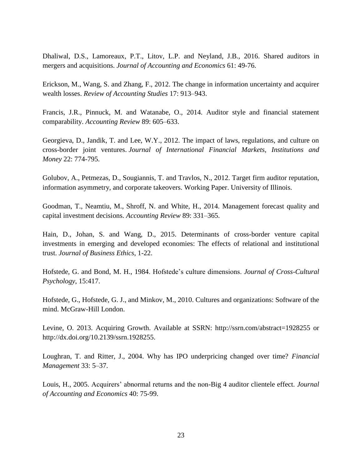Dhaliwal, D.S., Lamoreaux, P.T., Litov, L.P. and Neyland, J.B., 2016. Shared auditors in mergers and acquisitions. *Journal of Accounting and Economics* 61: 49-76.

Erickson, M., Wang, S. and Zhang, F., 2012. The change in information uncertainty and acquirer wealth losses. *Review of Accounting Studies* 17: 913–943.

Francis, J.R., Pinnuck, M. and Watanabe, O., 2014. Auditor style and financial statement comparability. *Accounting Review* 89: 605–633.

Georgieva, D., Jandik, T. and Lee, W.Y., 2012. The impact of laws, regulations, and culture on cross-border joint ventures. *Journal of International Financial Markets, Institutions and Money* 22: 774-795.

Golubov, A., Petmezas, D., Sougiannis, T. and Travlos, N., 2012. Target firm auditor reputation, information asymmetry, and corporate takeovers. Working Paper. University of Illinois.

Goodman, T., Neamtiu, M., Shroff, N. and White, H., 2014. Management forecast quality and capital investment decisions. *Accounting Review* 89: 331–365.

Hain, D., Johan, S. and Wang, D., 2015. Determinants of cross-border venture capital investments in emerging and developed economies: The effects of relational and institutional trust. *Journal of Business Ethics*, 1-22.

Hofstede, G. and Bond, M. H., 1984. Hofstede's culture dimensions. *Journal of Cross-Cultural Psychology*, 15:417.

Hofstede, G., Hofstede, G. J., and Minkov, M., 2010. Cultures and organizations: Software of the mind. McGraw-Hill London.

Levine, O. 2013. Acquiring Growth. Available at SSRN: <http://ssrn.com/abstract=1928255> or [http://dx.doi.org/10.2139/ssrn.1928255.](http://dx.doi.org/10.2139/ssrn.1928255)

Loughran, T. and Ritter, J., 2004. Why has IPO underpricing changed over time? *Financial Management* 33: 5–37.

Louis, H., 2005. Acquirers' abnormal returns and the non-Big 4 auditor clientele effect. *Journal of Accounting and Economics* 40: 75-99.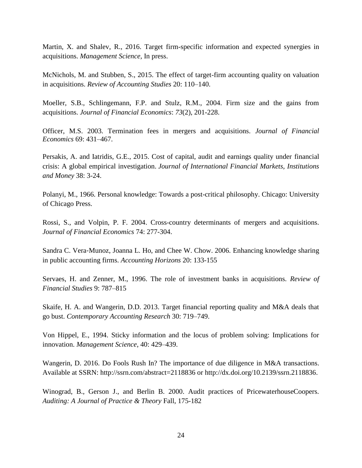Martin, X. and Shalev, R., 2016. Target firm-specific information and expected synergies in acquisitions. *Management Science,* In press.

McNichols, M. and Stubben, S., 2015. The effect of target-firm accounting quality on valuation in acquisitions. *Review of Accounting Studies* 20: 110–140.

Moeller, S.B., Schlingemann, F.P. and Stulz, R.M., 2004. Firm size and the gains from acquisitions. *Journal of Financial Economics*: *73*(2), 201-228.

Officer, M.S. 2003. Termination fees in mergers and acquisitions. *Journal of Financial Economics* 69: 431–467.

Persakis, A. and Iatridis, G.E., 2015. Cost of capital, audit and earnings quality under financial crisis: A global empirical investigation. *Journal of International Financial Markets, Institutions and Money* 38: 3-24.

Polanyi, M., 1966. Personal knowledge: Towards a post-critical philosophy. Chicago: University of Chicago Press.

Rossi, S., and Volpin, P. F. 2004. Cross-country determinants of mergers and acquisitions. *Journal of Financial Economics* 74: 277-304.

Sandra C. Vera‐Munoz, Joanna L. Ho, and Chee W. Chow. 2006. Enhancing knowledge sharing in public accounting firms. *Accounting Horizons* 20: 133-155

Servaes, H. and Zenner, M., 1996. The role of investment banks in acquisitions. *Review of Financial Studies* 9: 787–815

Skaife, H. A. and Wangerin, D.D. 2013. Target financial reporting quality and M&A deals that go bust. *Contemporary Accounting Research* 30: 719–749.

Von Hippel, E., 1994. Sticky information and the locus of problem solving: Implications for innovation. *Management Science*, 40: 429–439.

Wangerin, D. 2016. Do Fools Rush In? The importance of due diligence in M&A transactions. Available at SSRN: http://ssrn.com/abstract=2118836 or http://dx.doi.org/10.2139/ssrn.2118836.

Winograd, B., Gerson J., and Berlin B. 2000. Audit practices of PricewaterhouseCoopers. *Auditing: A Journal of Practice & Theory* Fall, 175-182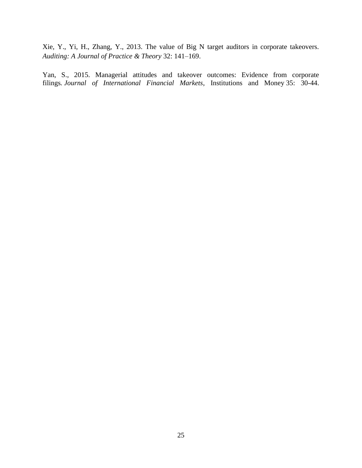Xie, Y., Yi, H., Zhang, Y., 2013. The value of Big N target auditors in corporate takeovers. *Auditing: A Journal of Practice & Theory* 32: 141–169.

Yan, S., 2015. Managerial attitudes and takeover outcomes: Evidence from corporate filings*. Journal of International Financial Markets*, Institutions and Money 35: 30-44.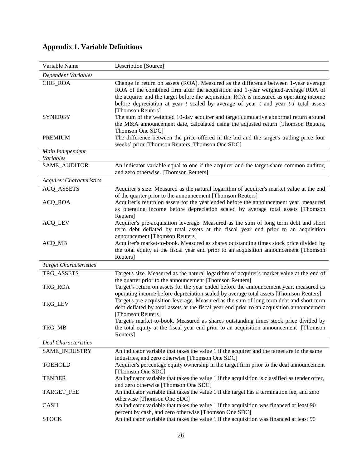| Variable Name                   | Description [Source]                                                                                                                                                                                                                                                                                                                                                                   |
|---------------------------------|----------------------------------------------------------------------------------------------------------------------------------------------------------------------------------------------------------------------------------------------------------------------------------------------------------------------------------------------------------------------------------------|
| Dependent Variables             |                                                                                                                                                                                                                                                                                                                                                                                        |
| CHG_ROA                         | Change in return on assets (ROA). Measured as the difference between 1-year average<br>ROA of the combined firm after the acquisition and 1-year weighted-average ROA of<br>the acquirer and the target before the acquisition. ROA is measured as operating income<br>before depreciation at year $t$ scaled by average of year $t$ and year $t$ -1 total assets<br>[Thomson Reuters] |
| <b>SYNERGY</b>                  | The sum of the weighted 10-day acquirer and target cumulative abnormal return around<br>the M&A announcement date, calculated using the adjusted return [Thomson Reuters,<br>Thomson One SDC]                                                                                                                                                                                          |
| <b>PREMIUM</b>                  | The difference between the price offered in the bid and the target's trading price four<br>weeks' prior [Thomson Reuters, Thomson One SDC]                                                                                                                                                                                                                                             |
| Main Independent<br>Variables   |                                                                                                                                                                                                                                                                                                                                                                                        |
| SAME_AUDITOR                    | An indicator variable equal to one if the acquirer and the target share common auditor,<br>and zero otherwise. [Thomson Reuters]                                                                                                                                                                                                                                                       |
| <b>Acquirer Characteristics</b> |                                                                                                                                                                                                                                                                                                                                                                                        |
| <b>ACQ_ASSETS</b>               | Acquirer's size. Measured as the natural logarithm of acquirer's market value at the end<br>of the quarter prior to the announcement [Thomson Reuters]                                                                                                                                                                                                                                 |
| <b>ACQ_ROA</b>                  | Acquirer's return on assets for the year ended before the announcement year, measured<br>as operating income before depreciation scaled by average total assets [Thomson<br>Reuters]                                                                                                                                                                                                   |
| <b>ACQ_LEV</b>                  | Acquirer's pre-acquisition leverage. Measured as the sum of long term debt and short<br>term debt deflated by total assets at the fiscal year end prior to an acquisition<br>announcement [Thomson Reuters]                                                                                                                                                                            |
| ACQ_MB                          | Acquirer's market-to-book. Measured as shares outstanding times stock price divided by<br>the total equity at the fiscal year end prior to an acquisition announcement [Thomson<br>Reuters]                                                                                                                                                                                            |
| <b>Target Characteristics</b>   |                                                                                                                                                                                                                                                                                                                                                                                        |
| TRG_ASSETS                      | Target's size. Measured as the natural logarithm of acquirer's market value at the end of<br>the quarter prior to the announcement [Thomson Reuters]                                                                                                                                                                                                                                   |
| TRG_ROA                         | Target's return on assets for the year ended before the announcement year, measured as<br>operating income before depreciation scaled by average total assets [Thomson Reuters]                                                                                                                                                                                                        |
| TRG_LEV                         | Target's pre-acquisition leverage. Measured as the sum of long term debt and short term<br>debt deflated by total assets at the fiscal year end prior to an acquisition announcement<br>[Thomson Reuters]                                                                                                                                                                              |
| TRG_MB                          | Target's market-to-book. Measured as shares outstanding times stock price divided by<br>the total equity at the fiscal year end prior to an acquisition announcement [Thomson<br>Reuters]                                                                                                                                                                                              |
| <b>Deal Characteristics</b>     |                                                                                                                                                                                                                                                                                                                                                                                        |
| SAME_INDUSTRY                   | An indicator variable that takes the value 1 if the acquirer and the target are in the same<br>industries, and zero otherwise [Thomson One SDC]                                                                                                                                                                                                                                        |
| <b>TOEHOLD</b>                  | Acquirer's percentage equity ownership in the target firm prior to the deal announcement<br>[Thomson One SDC]                                                                                                                                                                                                                                                                          |
| <b>TENDER</b>                   | An indicator variable that takes the value 1 if the acquisition is classified as tender offer,<br>and zero otherwise [Thomson One SDC]                                                                                                                                                                                                                                                 |
| TARGET_FEE                      | An indicator variable that takes the value 1 if the target has a termination fee, and zero<br>otherwise [Thomson One SDC]                                                                                                                                                                                                                                                              |
| <b>CASH</b>                     | An indicator variable that takes the value 1 if the acquisition was financed at least 90<br>percent by cash, and zero otherwise [Thomson One SDC]                                                                                                                                                                                                                                      |
| <b>STOCK</b>                    | An indicator variable that takes the value 1 if the acquisition was financed at least 90                                                                                                                                                                                                                                                                                               |

# **Appendix 1. Variable Definitions**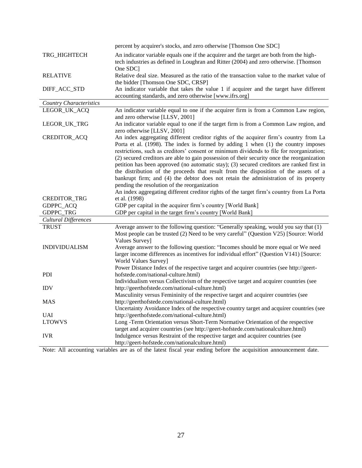|                                | percent by acquirer's stocks, and zero otherwise [Thomson One SDC]                                                                                                                                                                                                                                                                                                                                                                                                                                                                                                                                                                                                                                                                                                                               |
|--------------------------------|--------------------------------------------------------------------------------------------------------------------------------------------------------------------------------------------------------------------------------------------------------------------------------------------------------------------------------------------------------------------------------------------------------------------------------------------------------------------------------------------------------------------------------------------------------------------------------------------------------------------------------------------------------------------------------------------------------------------------------------------------------------------------------------------------|
| TRG_HIGHTECH                   | An indicator variable equals one if the acquirer and the target are both from the high-<br>tech industries as defined in Loughran and Ritter (2004) and zero otherwise. [Thomson<br>One SDC                                                                                                                                                                                                                                                                                                                                                                                                                                                                                                                                                                                                      |
| <b>RELATIVE</b>                | Relative deal size. Measured as the ratio of the transaction value to the market value of<br>the bidder [Thomson One SDC, CRSP]                                                                                                                                                                                                                                                                                                                                                                                                                                                                                                                                                                                                                                                                  |
| DIFF_ACC_STD                   | An indicator variable that takes the value 1 if acquirer and the target have different<br>accounting standards, and zero otherwise [www.ifrs.org]                                                                                                                                                                                                                                                                                                                                                                                                                                                                                                                                                                                                                                                |
| <b>Country Characteristics</b> |                                                                                                                                                                                                                                                                                                                                                                                                                                                                                                                                                                                                                                                                                                                                                                                                  |
| LEGOR_UK_ACQ                   | An indicator variable equal to one if the acquirer firm is from a Common Law region,<br>and zero otherwise [LLSV, 2001]                                                                                                                                                                                                                                                                                                                                                                                                                                                                                                                                                                                                                                                                          |
| LEGOR_UK_TRG                   | An indicator variable equal to one if the target firm is from a Common Law region, and<br>zero otherwise [LLSV, 2001]                                                                                                                                                                                                                                                                                                                                                                                                                                                                                                                                                                                                                                                                            |
| CREDITOR_ACQ                   | An index aggregating different creditor rights of the acquirer firm's country from La<br>Porta et al. (1998). The index is formed by adding 1 when (1) the country imposes<br>restrictions, such as creditors' consent or minimum dividends to file for reorganization;<br>(2) secured creditors are able to gain possession of their security once the reorganization<br>petition has been approved (no automatic stay); (3) secured creditors are ranked first in<br>the distribution of the proceeds that result from the disposition of the assets of a<br>bankrupt firm; and (4) the debtor does not retain the administration of its property<br>pending the resolution of the reorganization<br>An index aggregating different creditor rights of the target firm's country from La Porta |
| CREDITOR_TRG                   | et al. (1998)                                                                                                                                                                                                                                                                                                                                                                                                                                                                                                                                                                                                                                                                                                                                                                                    |
| GDPPC_ACQ                      | GDP per capital in the acquirer firm's country [World Bank]                                                                                                                                                                                                                                                                                                                                                                                                                                                                                                                                                                                                                                                                                                                                      |
| GDPPC_TRG                      | GDP per capital in the target firm's country [World Bank]                                                                                                                                                                                                                                                                                                                                                                                                                                                                                                                                                                                                                                                                                                                                        |
| <b>Cultural Differences</b>    |                                                                                                                                                                                                                                                                                                                                                                                                                                                                                                                                                                                                                                                                                                                                                                                                  |
| <b>TRUST</b>                   | Average answer to the following question: "Generally speaking, would you say that (1)                                                                                                                                                                                                                                                                                                                                                                                                                                                                                                                                                                                                                                                                                                            |
|                                | Most people can be trusted (2) Need to be very careful" (Question V25) [Source: World<br>Values Survey]                                                                                                                                                                                                                                                                                                                                                                                                                                                                                                                                                                                                                                                                                          |
| <b>INDIVIDUALISM</b>           | Average answer to the following question: "Incomes should be more equal or We need<br>larger income differences as incentives for individual effort" (Question V141) [Source:<br>World Values Survey]<br>Power Distance Index of the respective target and acquirer countries (see http://geert-                                                                                                                                                                                                                                                                                                                                                                                                                                                                                                 |
| PDI                            | hofstede.com/national-culture.html)<br>Individualism versus Collectivism of the respective target and acquirer countries (see                                                                                                                                                                                                                                                                                                                                                                                                                                                                                                                                                                                                                                                                    |
| <b>IDV</b>                     | http://geerthofstede.com/national-culture.html)                                                                                                                                                                                                                                                                                                                                                                                                                                                                                                                                                                                                                                                                                                                                                  |
|                                | Masculinity versus Femininity of the respective target and acquirer countries (see                                                                                                                                                                                                                                                                                                                                                                                                                                                                                                                                                                                                                                                                                                               |
| <b>MAS</b>                     | http://geerthofstede.com/national-culture.html)                                                                                                                                                                                                                                                                                                                                                                                                                                                                                                                                                                                                                                                                                                                                                  |
|                                | Uncertainty Avoidance Index of the respective country target and acquirer countries (see                                                                                                                                                                                                                                                                                                                                                                                                                                                                                                                                                                                                                                                                                                         |
| <b>UAI</b>                     | http://geerthofstede.com/national-culture.html)                                                                                                                                                                                                                                                                                                                                                                                                                                                                                                                                                                                                                                                                                                                                                  |
| <b>LTOWVS</b>                  | Long -Term Orientation versus Short-Term Normative Orientation of the respective                                                                                                                                                                                                                                                                                                                                                                                                                                                                                                                                                                                                                                                                                                                 |
|                                | target and acquirer countries (see http://geert-hofstede.com/nationalculture.html)                                                                                                                                                                                                                                                                                                                                                                                                                                                                                                                                                                                                                                                                                                               |
| <b>IVR</b>                     | Indulgence versus Restraint of the respective target and acquirer countries (see                                                                                                                                                                                                                                                                                                                                                                                                                                                                                                                                                                                                                                                                                                                 |
|                                | http://geert-hofstede.com/nationalculture.html)                                                                                                                                                                                                                                                                                                                                                                                                                                                                                                                                                                                                                                                                                                                                                  |

Note: All accounting variables are as of the latest fiscal year ending before the acquisition announcement date.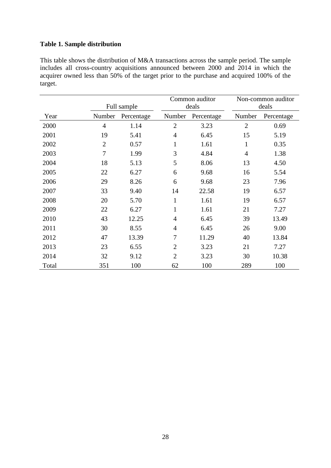# **Table 1. Sample distribution**

This table shows the distribution of M&A transactions across the sample period. The sample includes all cross-country acquisitions announced between 2000 and 2014 in which the acquirer owned less than 50% of the target prior to the purchase and acquired 100% of the target.

|       |                |            | Common auditor |            |                | Non-common auditor |  |
|-------|----------------|------------|----------------|------------|----------------|--------------------|--|
|       | Full sample    |            |                | deals      | deals          |                    |  |
| Year  | Number         | Percentage | Number         | Percentage | Number         | Percentage         |  |
| 2000  | $\overline{4}$ | 1.14       | $\overline{2}$ | 3.23       | $\overline{2}$ | 0.69               |  |
| 2001  | 19             | 5.41       | $\overline{4}$ | 6.45       | 15             | 5.19               |  |
| 2002  | $\overline{2}$ | 0.57       | 1              | 1.61       | $\mathbf{1}$   | 0.35               |  |
| 2003  | $\overline{7}$ | 1.99       | 3              | 4.84       | $\overline{4}$ | 1.38               |  |
| 2004  | 18             | 5.13       | 5              | 8.06       | 13             | 4.50               |  |
| 2005  | 22             | 6.27       | 6              | 9.68       | 16             | 5.54               |  |
| 2006  | 29             | 8.26       | 6              | 9.68       | 23             | 7.96               |  |
| 2007  | 33             | 9.40       | 14             | 22.58      | 19             | 6.57               |  |
| 2008  | 20             | 5.70       | $\mathbf{1}$   | 1.61       | 19             | 6.57               |  |
| 2009  | 22             | 6.27       | $\mathbf{1}$   | 1.61       | 21             | 7.27               |  |
| 2010  | 43             | 12.25      | $\overline{4}$ | 6.45       | 39             | 13.49              |  |
| 2011  | 30             | 8.55       | $\overline{4}$ | 6.45       | 26             | 9.00               |  |
| 2012  | 47             | 13.39      | 7              | 11.29      | 40             | 13.84              |  |
| 2013  | 23             | 6.55       | $\overline{2}$ | 3.23       | 21             | 7.27               |  |
| 2014  | 32             | 9.12       | $\overline{2}$ | 3.23       | 30             | 10.38              |  |
| Total | 351            | 100        | 62             | 100        | 289            | 100                |  |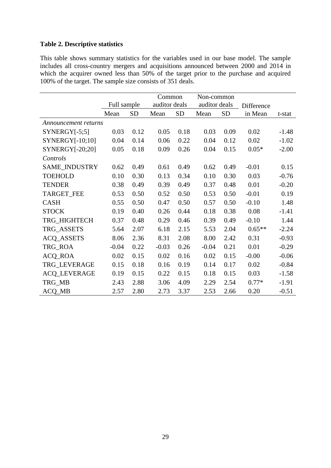# **Table 2. Descriptive statistics**

This table shows summary statistics for the variables used in our base model. The sample includes all cross-country mergers and acquisitions announced between 2000 and 2014 in which the acquirer owned less than 50% of the target prior to the purchase and acquired 100% of the target. The sample size consists of 351 deals.

|                      |             | Common    |         |               | Non-common |               |            |         |
|----------------------|-------------|-----------|---------|---------------|------------|---------------|------------|---------|
|                      | Full sample |           |         | auditor deals |            | auditor deals | Difference |         |
|                      | Mean        | <b>SD</b> | Mean    | <b>SD</b>     | Mean       | <b>SD</b>     | in Mean    | t-stat  |
| Announcement returns |             |           |         |               |            |               |            |         |
| $SYNERGY[-5;5]$      | 0.03        | 0.12      | 0.05    | 0.18          | 0.03       | 0.09          | 0.02       | $-1.48$ |
| $SYNERGY[-10;10]$    | 0.04        | 0.14      | 0.06    | 0.22          | 0.04       | 0.12          | 0.02       | $-1.02$ |
| SYNERGY[-20;20]      | 0.05        | 0.18      | 0.09    | 0.26          | 0.04       | 0.15          | $0.05*$    | $-2.00$ |
| Controls             |             |           |         |               |            |               |            |         |
| SAME_INDUSTRY        | 0.62        | 0.49      | 0.61    | 0.49          | 0.62       | 0.49          | $-0.01$    | 0.15    |
| <b>TOEHOLD</b>       | 0.10        | 0.30      | 0.13    | 0.34          | 0.10       | 0.30          | 0.03       | $-0.76$ |
| <b>TENDER</b>        | 0.38        | 0.49      | 0.39    | 0.49          | 0.37       | 0.48          | 0.01       | $-0.20$ |
| <b>TARGET_FEE</b>    | 0.53        | 0.50      | 0.52    | 0.50          | 0.53       | 0.50          | $-0.01$    | 0.19    |
| <b>CASH</b>          | 0.55        | 0.50      | 0.47    | 0.50          | 0.57       | 0.50          | $-0.10$    | 1.48    |
| <b>STOCK</b>         | 0.19        | 0.40      | 0.26    | 0.44          | 0.18       | 0.38          | 0.08       | $-1.41$ |
| TRG_HIGHTECH         | 0.37        | 0.48      | 0.29    | 0.46          | 0.39       | 0.49          | $-0.10$    | 1.44    |
| TRG_ASSETS           | 5.64        | 2.07      | 6.18    | 2.15          | 5.53       | 2.04          | $0.65**$   | $-2.24$ |
| <b>ACQ_ASSETS</b>    | 8.06        | 2.36      | 8.31    | 2.08          | 8.00       | 2.42          | 0.31       | $-0.93$ |
| TRG_ROA              | $-0.04$     | 0.22      | $-0.03$ | 0.26          | $-0.04$    | 0.21          | 0.01       | $-0.29$ |
| ACQ_ROA              | 0.02        | 0.15      | 0.02    | 0.16          | 0.02       | 0.15          | $-0.00$    | $-0.06$ |
| TRG_LEVERAGE         | 0.15        | 0.18      | 0.16    | 0.19          | 0.14       | 0.17          | 0.02       | $-0.84$ |
| <b>ACQ_LEVERAGE</b>  | 0.19        | 0.15      | 0.22    | 0.15          | 0.18       | 0.15          | 0.03       | $-1.58$ |
| TRG_MB               | 2.43        | 2.88      | 3.06    | 4.09          | 2.29       | 2.54          | $0.77*$    | $-1.91$ |
| ACQ_MB               | 2.57        | 2.80      | 2.73    | 3.37          | 2.53       | 2.66          | 0.20       | $-0.51$ |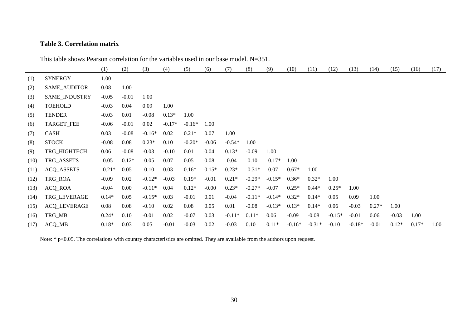# **Table 3. Correlation matrix**

This table shows Pearson correlation for the variables used in our base model. N=351.

|      |                     | (1)      | (2)     | (3)      | (4)      | (5)      | (6)     | (7)      | (8)      | (9)      | (10)     | (11)     | (12)     | (13)     | (14)    | (15)    | (16)    | (17) |
|------|---------------------|----------|---------|----------|----------|----------|---------|----------|----------|----------|----------|----------|----------|----------|---------|---------|---------|------|
| (1)  | <b>SYNERGY</b>      | 1.00     |         |          |          |          |         |          |          |          |          |          |          |          |         |         |         |      |
| (2)  | SAME_AUDITOR        | 0.08     | 1.00    |          |          |          |         |          |          |          |          |          |          |          |         |         |         |      |
| (3)  | SAME_INDUSTRY       | $-0.05$  | $-0.01$ | 1.00     |          |          |         |          |          |          |          |          |          |          |         |         |         |      |
| (4)  | <b>TOEHOLD</b>      | $-0.03$  | 0.04    | 0.09     | 1.00     |          |         |          |          |          |          |          |          |          |         |         |         |      |
| (5)  | <b>TENDER</b>       | $-0.03$  | 0.01    | $-0.08$  | $0.13*$  | 1.00     |         |          |          |          |          |          |          |          |         |         |         |      |
| (6)  | TARGET_FEE          | $-0.06$  | $-0.01$ | 0.02     | $-0.17*$ | $-0.16*$ | 1.00    |          |          |          |          |          |          |          |         |         |         |      |
| (7)  | <b>CASH</b>         | 0.03     | $-0.08$ | $-0.16*$ | 0.02     | $0.21*$  | 0.07    | 1.00     |          |          |          |          |          |          |         |         |         |      |
| (8)  | <b>STOCK</b>        | $-0.08$  | 0.08    | $0.23*$  | 0.10     | $-0.20*$ | $-0.06$ | $-0.54*$ | 1.00     |          |          |          |          |          |         |         |         |      |
| (9)  | TRG_HIGHTECH        | 0.06     | $-0.08$ | $-0.03$  | $-0.10$  | 0.01     | 0.04    | $0.13*$  | $-0.09$  | 1.00     |          |          |          |          |         |         |         |      |
| (10) | TRG_ASSETS          | $-0.05$  | $0.12*$ | $-0.05$  | 0.07     | 0.05     | 0.08    | $-0.04$  | $-0.10$  | $-0.17*$ | 1.00     |          |          |          |         |         |         |      |
| (11) | <b>ACQ_ASSETS</b>   | $-0.21*$ | 0.05    | $-0.10$  | 0.03     | $0.16*$  | $0.15*$ | $0.23*$  | $-0.31*$ | $-0.07$  | $0.67*$  | 1.00     |          |          |         |         |         |      |
| (12) | TRG_ROA             | $-0.09$  | 0.02    | $-0.12*$ | $-0.03$  | $0.19*$  | $-0.01$ | $0.21*$  | $-0.29*$ | $-0.15*$ | $0.36*$  | $0.32*$  | 1.00     |          |         |         |         |      |
| (13) | ACQ_ROA             | $-0.04$  | 0.00    | $-0.11*$ | 0.04     | $0.12*$  | $-0.00$ | $0.23*$  | $-0.27*$ | $-0.07$  | $0.25*$  | $0.44*$  | $0.25*$  | 1.00     |         |         |         |      |
| (14) | TRG_LEVERAGE        | $0.14*$  | 0.05    | $-0.15*$ | 0.03     | $-0.01$  | 0.01    | $-0.04$  | $-0.11*$ | $-0.14*$ | $0.32*$  | $0.14*$  | 0.05     | 0.09     | 1.00    |         |         |      |
| (15) | <b>ACQ_LEVERAGE</b> | 0.08     | 0.08    | $-0.10$  | 0.02     | 0.08     | 0.05    | 0.01     | $-0.08$  | $-0.13*$ | $0.13*$  | $0.14*$  | 0.06     | $-0.03$  | $0.27*$ | 1.00    |         |      |
| (16) | TRG_MB              | $0.24*$  | 0.10    | $-0.01$  | 0.02     | $-0.07$  | 0.03    | $-0.11*$ | $0.11*$  | 0.06     | $-0.09$  | $-0.08$  | $-0.15*$ | $-0.01$  | 0.06    | $-0.03$ | 1.00    |      |
| (17) | $ACQ_MB$            | $0.18*$  | 0.03    | 0.05     | $-0.01$  | $-0.03$  | 0.02    | $-0.03$  | 0.10     | $0.11*$  | $-0.16*$ | $-0.31*$ | $-0.10$  | $-0.18*$ | $-0.01$ | $0.12*$ | $0.17*$ | 1.00 |

Note: \* p<0.05. The correlations with country characteristics are omitted. They are available from the authors upon request.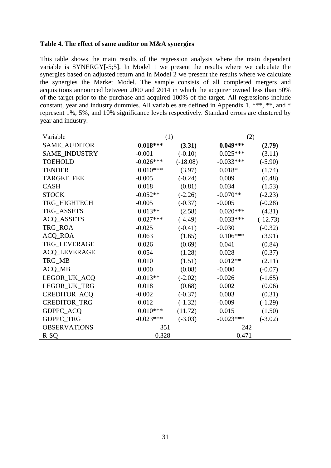### **Table 4. The effect of same auditor on M&A synergies**

This table shows the main results of the regression analysis where the main dependent variable is SYNERGY[-5;5]. In Model 1 we present the results where we calculate the synergies based on adjusted return and in Model 2 we present the results where we calculate the synergies the Market Model. The sample consists of all completed mergers and acquisitions announced between 2000 and 2014 in which the acquirer owned less than 50% of the target prior to the purchase and acquired 100% of the target. All regressions include constant, year and industry dummies. All variables are defined in Appendix 1. \*\*\*, \*\*, and \* represent 1%, 5%, and 10% significance levels respectively. Standard errors are clustered by year and industry.

| Variable            | (1)         |            | (2)         |            |  |
|---------------------|-------------|------------|-------------|------------|--|
| SAME_AUDITOR        | $0.018***$  | (3.31)     | $0.049***$  | (2.79)     |  |
| SAME_INDUSTRY       | $-0.001$    | $(-0.10)$  | $0.025***$  | (3.11)     |  |
| <b>TOEHOLD</b>      | $-0.026***$ | $(-18.08)$ | $-0.033***$ | $(-5.90)$  |  |
| <b>TENDER</b>       | $0.010***$  | (3.97)     | $0.018*$    | (1.74)     |  |
| <b>TARGET_FEE</b>   | $-0.005$    | $(-0.24)$  | 0.009       | (0.48)     |  |
| <b>CASH</b>         | 0.018       | (0.81)     | 0.034       | (1.53)     |  |
| <b>STOCK</b>        | $-0.052**$  | $(-2.26)$  | $-0.070**$  | $(-2.23)$  |  |
| TRG_HIGHTECH        | $-0.005$    | $(-0.37)$  | $-0.005$    | $(-0.28)$  |  |
| TRG_ASSETS          | $0.013**$   | (2.58)     | $0.020***$  | (4.31)     |  |
| <b>ACQ_ASSETS</b>   | $-0.027***$ | $(-4.49)$  | $-0.033***$ | $(-12.73)$ |  |
| TRG_ROA             | $-0.025$    | $(-0.41)$  | $-0.030$    | $(-0.32)$  |  |
| <b>ACQ_ROA</b>      | 0.063       | (1.65)     | $0.106***$  | (3.91)     |  |
| TRG_LEVERAGE        | 0.026       | (0.69)     | 0.041       | (0.84)     |  |
| <b>ACQ_LEVERAGE</b> | 0.054       | (1.28)     | 0.028       | (0.37)     |  |
| TRG_MB              | 0.010       | (1.51)     | $0.012**$   | (2.11)     |  |
| ACQ_MB              | 0.000       | (0.08)     | $-0.000$    | $(-0.07)$  |  |
| LEGOR_UK_ACQ        | $-0.013**$  | $(-2.02)$  | $-0.026$    | $(-1.65)$  |  |
| LEGOR_UK_TRG        | 0.018       | (0.68)     | 0.002       | (0.06)     |  |
| CREDITOR_ACQ        | $-0.002$    | $(-0.37)$  | 0.003       | (0.31)     |  |
| <b>CREDITOR_TRG</b> | $-0.012$    | $(-1.32)$  | $-0.009$    | $(-1.29)$  |  |
| GDPPC_ACQ           | $0.010***$  | (11.72)    | 0.015       | (1.50)     |  |
| GDPPC_TRG           | $-0.023***$ | $(-3.03)$  | $-0.023***$ | $(-3.02)$  |  |
| <b>OBSERVATIONS</b> | 351         |            | 242         |            |  |
| $R-SQ$              | 0.328       |            | 0.471       |            |  |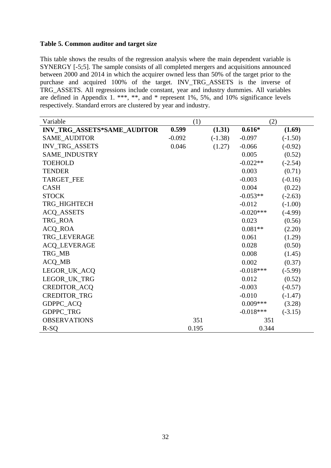# **Table 5. Common auditor and target size**

This table shows the results of the regression analysis where the main dependent variable is SYNERGY [-5;5]. The sample consists of all completed mergers and acquisitions announced between 2000 and 2014 in which the acquirer owned less than 50% of the target prior to the purchase and acquired 100% of the target. INV\_TRG\_ASSETS is the inverse of TRG\_ASSETS. All regressions include constant, year and industry dummies. All variables are defined in Appendix 1. \*\*\*, \*\*, and \* represent 1%, 5%, and 10% significance levels respectively. Standard errors are clustered by year and industry.

| Variable                    |          | (1)       |             | (2)       |
|-----------------------------|----------|-----------|-------------|-----------|
| INV_TRG_ASSETS*SAME_AUDITOR | 0.599    | (1.31)    | $0.616*$    | (1.69)    |
| <b>SAME AUDITOR</b>         | $-0.092$ | $(-1.38)$ | $-0.097$    | $(-1.50)$ |
| INV_TRG_ASSETS              | 0.046    | (1.27)    | $-0.066$    | $(-0.92)$ |
| SAME_INDUSTRY               |          |           | 0.005       | (0.52)    |
| <b>TOEHOLD</b>              |          |           | $-0.022**$  | $(-2.54)$ |
| <b>TENDER</b>               |          |           | 0.003       | (0.71)    |
| TARGET_FEE                  |          |           | $-0.003$    | $(-0.16)$ |
| <b>CASH</b>                 |          |           | 0.004       | (0.22)    |
| <b>STOCK</b>                |          |           | $-0.053**$  | $(-2.63)$ |
| TRG_HIGHTECH                |          |           | $-0.012$    | $(-1.00)$ |
| <b>ACQ_ASSETS</b>           |          |           | $-0.020***$ | $(-4.99)$ |
| TRG_ROA                     |          |           | 0.023       | (0.56)    |
| <b>ACQ_ROA</b>              |          |           | $0.081**$   | (2.20)    |
| TRG_LEVERAGE                |          |           | 0.061       | (1.29)    |
| <b>ACQ_LEVERAGE</b>         |          |           | 0.028       | (0.50)    |
| TRG_MB                      |          |           | 0.008       | (1.45)    |
| ACQ_MB                      |          |           | 0.002       | (0.37)    |
| LEGOR_UK_ACQ                |          |           | $-0.018***$ | $(-5.99)$ |
| LEGOR_UK_TRG                |          |           | 0.012       | (0.52)    |
| CREDITOR_ACQ                |          |           | $-0.003$    | $(-0.57)$ |
| <b>CREDITOR_TRG</b>         |          |           | $-0.010$    | $(-1.47)$ |
| GDPPC_ACQ                   |          |           | $0.009***$  | (3.28)    |
| GDPPC_TRG                   |          |           | $-0.018***$ | $(-3.15)$ |
| <b>OBSERVATIONS</b>         |          | 351       | 351         |           |
| $R-SO$                      |          | 0.195     | 0.344       |           |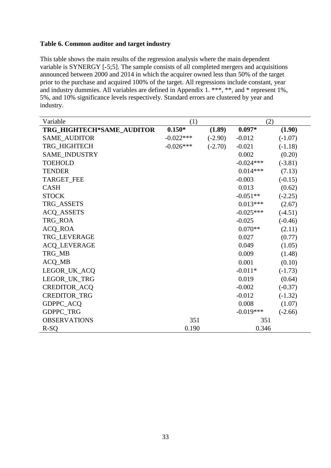# **Table 6. Common auditor and target industry**

This table shows the main results of the regression analysis where the main dependent variable is SYNERGY [-5;5]. The sample consists of all completed mergers and acquisitions announced between 2000 and 2014 in which the acquirer owned less than 50% of the target prior to the purchase and acquired 100% of the target. All regressions include constant, year and industry dummies. All variables are defined in Appendix 1. \*\*\*, \*\*, and \* represent 1%, 5%, and 10% significance levels respectively. Standard errors are clustered by year and industry.

| Variable                  | (1)         |           | (2)         |           |  |
|---------------------------|-------------|-----------|-------------|-----------|--|
| TRG_HIGHTECH*SAME_AUDITOR | $0.150*$    | (1.89)    | $0.097*$    | (1.90)    |  |
| <b>SAME_AUDITOR</b>       | $-0.022***$ | $(-2.90)$ | $-0.012$    | $(-1.07)$ |  |
| TRG_HIGHTECH              | $-0.026***$ | $(-2.70)$ | $-0.021$    | $(-1.18)$ |  |
| SAME_INDUSTRY             |             |           | 0.002       | (0.20)    |  |
| <b>TOEHOLD</b>            |             |           | $-0.024***$ | $(-3.81)$ |  |
| <b>TENDER</b>             |             |           | $0.014***$  | (7.13)    |  |
| TARGET_FEE                |             |           | $-0.003$    | $(-0.15)$ |  |
| <b>CASH</b>               |             |           | 0.013       | (0.62)    |  |
| <b>STOCK</b>              |             |           | $-0.051**$  | $(-2.25)$ |  |
| TRG_ASSETS                |             |           | $0.013***$  | (2.67)    |  |
| <b>ACQ_ASSETS</b>         |             |           | $-0.025***$ | $(-4.51)$ |  |
| TRG_ROA                   |             |           | $-0.025$    | $(-0.46)$ |  |
| <b>ACQ_ROA</b>            |             |           | $0.070**$   | (2.11)    |  |
| TRG LEVERAGE              |             |           | 0.027       | (0.77)    |  |
| <b>ACQ_LEVERAGE</b>       |             |           | 0.049       | (1.05)    |  |
| TRG_MB                    |             |           | 0.009       | (1.48)    |  |
| ACQ_MB                    |             |           | 0.001       | (0.10)    |  |
| LEGOR_UK_ACQ              |             |           | $-0.011*$   | $(-1.73)$ |  |
| LEGOR_UK_TRG              |             |           | 0.019       | (0.64)    |  |
| CREDITOR_ACQ              |             |           | $-0.002$    | $(-0.37)$ |  |
| <b>CREDITOR_TRG</b>       |             |           | $-0.012$    | $(-1.32)$ |  |
| GDPPC_ACQ                 |             |           | 0.008       | (1.07)    |  |
| GDPPC_TRG                 |             |           | $-0.019***$ | $(-2.66)$ |  |
| <b>OBSERVATIONS</b>       | 351         |           | 351         |           |  |
| $R-SQ$                    | 0.190       |           | 0.346       |           |  |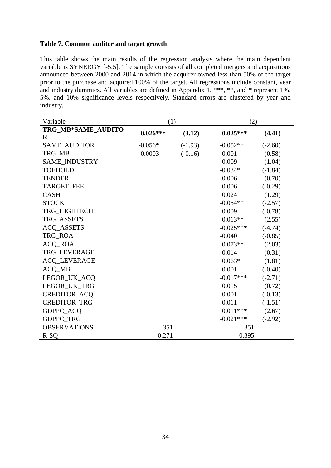# **Table 7. Common auditor and target growth**

This table shows the main results of the regression analysis where the main dependent variable is SYNERGY [-5;5]. The sample consists of all completed mergers and acquisitions announced between 2000 and 2014 in which the acquirer owned less than 50% of the target prior to the purchase and acquired 100% of the target. All regressions include constant, year and industry dummies. All variables are defined in Appendix 1. \*\*\*, \*\*, and \* represent 1%, 5%, and 10% significance levels respectively. Standard errors are clustered by year and industry.

| Variable             | (1)        |           | (2)         |           |
|----------------------|------------|-----------|-------------|-----------|
| TRG_MB*SAME_AUDITO   | $0.026***$ | (3.12)    | $0.025***$  | (4.41)    |
| $\bf{R}$             |            |           |             |           |
| <b>SAME AUDITOR</b>  | $-0.056*$  | $(-1.93)$ | $-0.052**$  | $(-2.60)$ |
| TRG_MB               | $-0.0003$  | $(-0.16)$ | 0.001       | (0.58)    |
| <b>SAME INDUSTRY</b> |            |           | 0.009       | (1.04)    |
| <b>TOEHOLD</b>       |            |           | $-0.034*$   | $(-1.84)$ |
| <b>TENDER</b>        |            |           | 0.006       | (0.70)    |
| TARGET_FEE           |            |           | $-0.006$    | $(-0.29)$ |
| <b>CASH</b>          |            |           | 0.024       | (1.29)    |
| <b>STOCK</b>         |            |           | $-0.054**$  | $(-2.57)$ |
| TRG_HIGHTECH         |            |           | $-0.009$    | $(-0.78)$ |
| TRG_ASSETS           |            |           | $0.013**$   | (2.55)    |
| <b>ACQ_ASSETS</b>    |            |           | $-0.025***$ | $(-4.74)$ |
| TRG_ROA              |            |           | $-0.040$    | $(-0.85)$ |
| <b>ACQ_ROA</b>       |            |           | $0.073**$   | (2.03)    |
| <b>TRG LEVERAGE</b>  |            |           | 0.014       | (0.31)    |
| <b>ACQ_LEVERAGE</b>  |            |           | $0.063*$    | (1.81)    |
| <b>ACQ_MB</b>        |            |           | $-0.001$    | $(-0.40)$ |
| LEGOR_UK_ACQ         |            |           | $-0.017***$ | $(-2.71)$ |
| LEGOR_UK_TRG         |            |           | 0.015       | (0.72)    |
| CREDITOR_ACQ         |            |           | $-0.001$    | $(-0.13)$ |
| <b>CREDITOR_TRG</b>  |            |           | $-0.011$    | $(-1.51)$ |
| GDPPC_ACQ            |            |           | $0.011***$  | (2.67)    |
| GDPPC_TRG            |            |           | $-0.021***$ | $(-2.92)$ |
| <b>OBSERVATIONS</b>  | 351        |           | 351         |           |
| $R-SQ$               | 0.271      |           | 0.395       |           |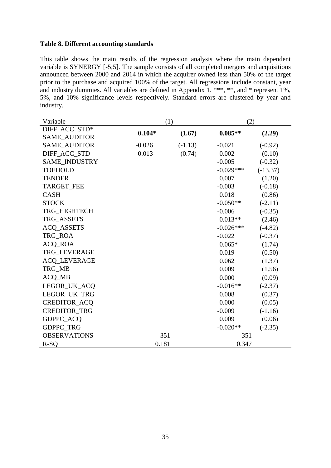# **Table 8. Different accounting standards**

This table shows the main results of the regression analysis where the main dependent variable is SYNERGY [-5;5]. The sample consists of all completed mergers and acquisitions announced between 2000 and 2014 in which the acquirer owned less than 50% of the target prior to the purchase and acquired 100% of the target. All regressions include constant, year and industry dummies. All variables are defined in Appendix 1. \*\*\*, \*\*, and \* represent 1%, 5%, and 10% significance levels respectively. Standard errors are clustered by year and industry.

| Variable             |          | (1)       | (2)         |            |  |
|----------------------|----------|-----------|-------------|------------|--|
| DIFF ACC STD*        | $0.104*$ | (1.67)    | $0.085**$   | (2.29)     |  |
| <b>SAME AUDITOR</b>  |          |           |             |            |  |
| <b>SAME AUDITOR</b>  | $-0.026$ | $(-1.13)$ | $-0.021$    | $(-0.92)$  |  |
| DIFF ACC STD         | 0.013    | (0.74)    | 0.002       | (0.10)     |  |
| <b>SAME INDUSTRY</b> |          |           | $-0.005$    | $(-0.32)$  |  |
| <b>TOEHOLD</b>       |          |           | $-0.029***$ | $(-13.37)$ |  |
| <b>TENDER</b>        |          |           | 0.007       | (1.20)     |  |
| <b>TARGET FEE</b>    |          |           | $-0.003$    | $(-0.18)$  |  |
| <b>CASH</b>          |          |           | 0.018       | (0.86)     |  |
| <b>STOCK</b>         |          |           | $-0.050**$  | $(-2.11)$  |  |
| TRG HIGHTECH         |          |           | $-0.006$    | $(-0.35)$  |  |
| TRG_ASSETS           |          |           | $0.013**$   | (2.46)     |  |
| <b>ACQ_ASSETS</b>    |          |           | $-0.026***$ | $(-4.82)$  |  |
| TRG_ROA              |          |           | $-0.022$    | $(-0.37)$  |  |
| <b>ACQ_ROA</b>       |          |           | $0.065*$    | (1.74)     |  |
| <b>TRG_LEVERAGE</b>  |          |           | 0.019       | (0.50)     |  |
| <b>ACQ_LEVERAGE</b>  |          |           | 0.062       | (1.37)     |  |
| TRG_MB               |          |           | 0.009       | (1.56)     |  |
| ACQ_MB               |          |           | 0.000       | (0.09)     |  |
| LEGOR_UK_ACQ         |          |           | $-0.016**$  | $(-2.37)$  |  |
| LEGOR_UK_TRG         |          |           | 0.008       | (0.37)     |  |
| CREDITOR_ACQ         |          |           | 0.000       | (0.05)     |  |
| <b>CREDITOR TRG</b>  |          |           | $-0.009$    | $(-1.16)$  |  |
| <b>GDPPC ACQ</b>     |          |           | 0.009       | (0.06)     |  |
| GDPPC_TRG            |          |           | $-0.020**$  | $(-2.35)$  |  |
| <b>OBSERVATIONS</b>  | 351      |           | 351         |            |  |
| $R-SO$               | 0.181    |           | 0.347       |            |  |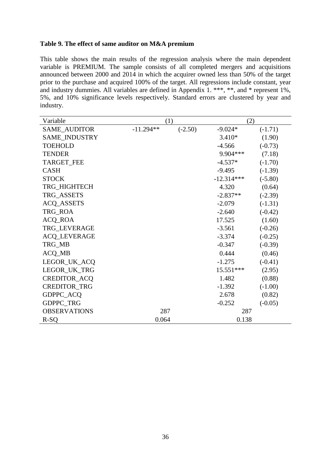# **Table 9. The effect of same auditor on M&A premium**

This table shows the main results of the regression analysis where the main dependent variable is PREMIUM. The sample consists of all completed mergers and acquisitions announced between 2000 and 2014 in which the acquirer owned less than 50% of the target prior to the purchase and acquired 100% of the target. All regressions include constant, year and industry dummies. All variables are defined in Appendix 1. \*\*\*, \*\*, and \* represent 1%, 5%, and 10% significance levels respectively. Standard errors are clustered by year and industry.

| Variable            |             | (1)       | (2)          |           |
|---------------------|-------------|-----------|--------------|-----------|
| <b>SAME_AUDITOR</b> | $-11.294**$ | $(-2.50)$ | $-9.024*$    | $(-1.71)$ |
| SAME_INDUSTRY       |             |           | $3.410*$     | (1.90)    |
| <b>TOEHOLD</b>      |             |           | $-4.566$     | $(-0.73)$ |
| <b>TENDER</b>       |             |           | 9.904***     | (7.18)    |
| <b>TARGET_FEE</b>   |             |           | $-4.537*$    | $(-1.70)$ |
| <b>CASH</b>         |             |           | $-9.495$     | $(-1.39)$ |
| <b>STOCK</b>        |             |           | $-12.314***$ | $(-5.80)$ |
| TRG_HIGHTECH        |             |           | 4.320        | (0.64)    |
| TRG_ASSETS          |             |           | $-2.837**$   | $(-2.39)$ |
| <b>ACQ_ASSETS</b>   |             |           | $-2.079$     | $(-1.31)$ |
| TRG_ROA             |             |           | $-2.640$     | $(-0.42)$ |
| <b>ACQ_ROA</b>      |             |           | 17.525       | (1.60)    |
| TRG_LEVERAGE        |             |           | $-3.561$     | $(-0.26)$ |
| <b>ACQ_LEVERAGE</b> |             |           | $-3.374$     | $(-0.25)$ |
| TRG_MB              |             |           | $-0.347$     | $(-0.39)$ |
| ACQ_MB              |             |           | 0.444        | (0.46)    |
| LEGOR_UK_ACQ        |             |           | $-1.275$     | $(-0.41)$ |
| LEGOR_UK_TRG        |             |           | 15.551***    | (2.95)    |
| CREDITOR_ACQ        |             |           | 1.482        | (0.88)    |
| <b>CREDITOR_TRG</b> |             |           | $-1.392$     | $(-1.00)$ |
| GDPPC_ACQ           |             |           | 2.678        | (0.82)    |
| GDPPC_TRG           |             |           | $-0.252$     | $(-0.05)$ |
| <b>OBSERVATIONS</b> |             | 287       | 287          |           |
| $R-SQ$              | 0.064       |           | 0.138        |           |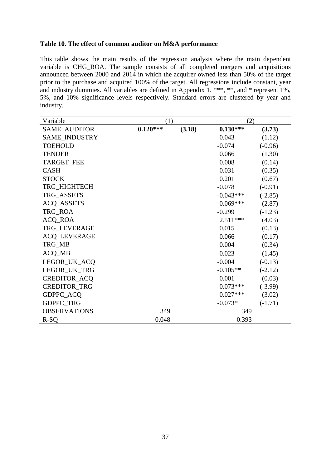## **Table 10. The effect of common auditor on M&A performance**

This table shows the main results of the regression analysis where the main dependent variable is CHG\_ROA. The sample consists of all completed mergers and acquisitions announced between 2000 and 2014 in which the acquirer owned less than 50% of the target prior to the purchase and acquired 100% of the target. All regressions include constant, year and industry dummies. All variables are defined in Appendix 1. \*\*\*, \*\*, and \* represent 1%, 5%, and 10% significance levels respectively. Standard errors are clustered by year and industry.

| Variable            | (1)        |        | (2)         |           |
|---------------------|------------|--------|-------------|-----------|
| SAME_AUDITOR        | $0.120***$ | (3.18) | $0.130***$  | (3.73)    |
| SAME_INDUSTRY       |            |        | 0.043       | (1.12)    |
| <b>TOEHOLD</b>      |            |        | $-0.074$    | $(-0.96)$ |
| <b>TENDER</b>       |            |        | 0.066       | (1.30)    |
| <b>TARGET_FEE</b>   |            |        | 0.008       | (0.14)    |
| <b>CASH</b>         |            |        | 0.031       | (0.35)    |
| <b>STOCK</b>        |            |        | 0.201       | (0.67)    |
| TRG_HIGHTECH        |            |        | $-0.078$    | $(-0.91)$ |
| TRG_ASSETS          |            |        | $-0.043***$ | $(-2.85)$ |
| <b>ACQ_ASSETS</b>   |            |        | $0.069***$  | (2.87)    |
| TRG_ROA             |            |        | $-0.299$    | $(-1.23)$ |
| <b>ACQ_ROA</b>      |            |        | $2.511***$  | (4.03)    |
| TRG_LEVERAGE        |            |        | 0.015       | (0.13)    |
| <b>ACQ_LEVERAGE</b> |            |        | 0.066       | (0.17)    |
| TRG_MB              |            |        | 0.004       | (0.34)    |
| ACQ_MB              |            |        | 0.023       | (1.45)    |
| LEGOR_UK_ACQ        |            |        | $-0.004$    | $(-0.13)$ |
| LEGOR_UK_TRG        |            |        | $-0.105**$  | $(-2.12)$ |
| CREDITOR_ACQ        |            |        | 0.001       | (0.03)    |
| <b>CREDITOR_TRG</b> |            |        | $-0.073***$ | $(-3.99)$ |
| GDPPC_ACQ           |            |        | $0.027***$  | (3.02)    |
| GDPPC_TRG           |            |        | $-0.073*$   | $(-1.71)$ |
| <b>OBSERVATIONS</b> | 349        |        | 349         |           |
| $R-SQ$              | 0.048      |        | 0.393       |           |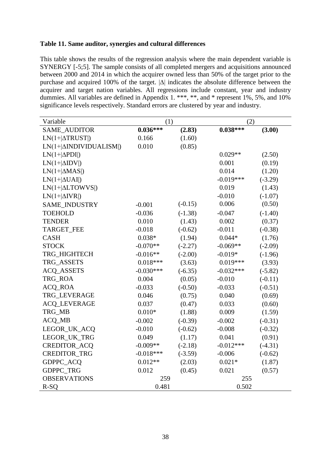# **Table 11. Same auditor, synergies and cultural differences**

This table shows the results of the regression analysis where the main dependent variable is SYNERGY [-5;5]. The sample consists of all completed mergers and acquisitions announced between 2000 and 2014 in which the acquirer owned less than 50% of the target prior to the purchase and acquired 100% of the target. |∆| indicates the absolute difference between the acquirer and target nation variables. All regressions include constant, year and industry dummies. All variables are defined in Appendix 1. \*\*\*, \*\*, and \* represent 1%, 5%, and 10% significance levels respectively. Standard errors are clustered by year and industry.

| Variable                       | (1)         |           | (2)         |           |
|--------------------------------|-------------|-----------|-------------|-----------|
| SAME_AUDITOR                   | $0.036***$  | (2.83)    | $0.038***$  | (3.00)    |
| $LN(1+ \Delta TRUST )$         | 0.166       | (1.60)    |             |           |
| $LN(1+ \Delta INDIVIDUALISM )$ | 0.010       | (0.85)    |             |           |
| $LN(1+ \Delta \text{PDI} )$    |             |           | $0.029**$   | (2.50)    |
| $LN(1+ \Delta IDV )$           |             |           | 0.001       | (0.19)    |
| $LN(1+ \Delta MAS )$           |             |           | 0.014       | (1.20)    |
| $LN(1+ \Delta UAI )$           |             |           | $-0.019***$ | $(-3.29)$ |
| $LN(1+ \Delta LTOWVS )$        |             |           | 0.019       | (1.43)    |
| $LN(1+ \Delta IVR )$           |             |           | $-0.010$    | $(-1.07)$ |
| SAME_INDUSTRY                  | $-0.001$    | $(-0.15)$ | 0.006       | (0.50)    |
| <b>TOEHOLD</b>                 | $-0.036$    | $(-1.38)$ | $-0.047$    | $(-1.40)$ |
| <b>TENDER</b>                  | 0.010       | (1.43)    | 0.002       | (0.37)    |
| <b>TARGET FEE</b>              | $-0.018$    | $(-0.62)$ | $-0.011$    | $(-0.38)$ |
| <b>CASH</b>                    | $0.038*$    | (1.94)    | $0.044*$    | (1.76)    |
| <b>STOCK</b>                   | $-0.070**$  | $(-2.27)$ | $-0.069**$  | $(-2.09)$ |
| TRG_HIGHTECH                   | $-0.016**$  | $(-2.00)$ | $-0.019*$   | $(-1.96)$ |
| TRG_ASSETS                     | $0.018***$  | (3.63)    | $0.019***$  | (3.93)    |
| <b>ACQ_ASSETS</b>              | $-0.030***$ | $(-6.35)$ | $-0.032***$ | $(-5.82)$ |
| TRG_ROA                        | 0.004       | (0.05)    | $-0.010$    | $(-0.11)$ |
| <b>ACQ_ROA</b>                 | $-0.033$    | $(-0.50)$ | $-0.033$    | $(-0.51)$ |
| TRG_LEVERAGE                   | 0.046       | (0.75)    | 0.040       | (0.69)    |
| ACQ_LEVERAGE                   | 0.037       | (0.47)    | 0.033       | (0.60)    |
| TRG_MB                         | $0.010*$    | (1.88)    | 0.009       | (1.59)    |
| ACQ_MB                         | $-0.002$    | $(-0.39)$ | $-0.002$    | $(-0.31)$ |
| LEGOR_UK_ACQ                   | $-0.010$    | $(-0.62)$ | $-0.008$    | $(-0.32)$ |
| LEGOR_UK_TRG                   | 0.049       | (1.17)    | 0.041       | (0.91)    |
| CREDITOR_ACQ                   | $-0.009**$  | $(-2.18)$ | $-0.012***$ | $(-4.31)$ |
| <b>CREDITOR_TRG</b>            | $-0.018***$ | $(-3.59)$ | $-0.006$    | $(-0.62)$ |
| GDPPC_ACQ                      | $0.012**$   | (2.03)    | $0.021*$    | (1.87)    |
| GDPPC_TRG                      | 0.012       | (0.45)    | 0.021       | (0.57)    |
| <b>OBSERVATIONS</b>            | 259         |           | 255         |           |
| $R-SQ$                         | 0.481       |           | 0.502       |           |